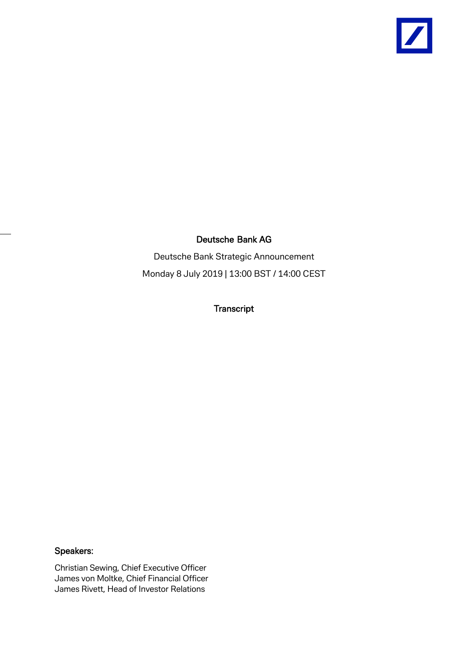

# Deutsche Bank AG

Deutsche Bank Strategic Announcement Monday 8 July 2019 | 13:00 BST / 14:00 CEST

**Transcript** 

# Speakers:

Christian Sewing, Chief Executive Officer James von Moltke, Chief Financial Officer James Rivett, Head of Investor Relations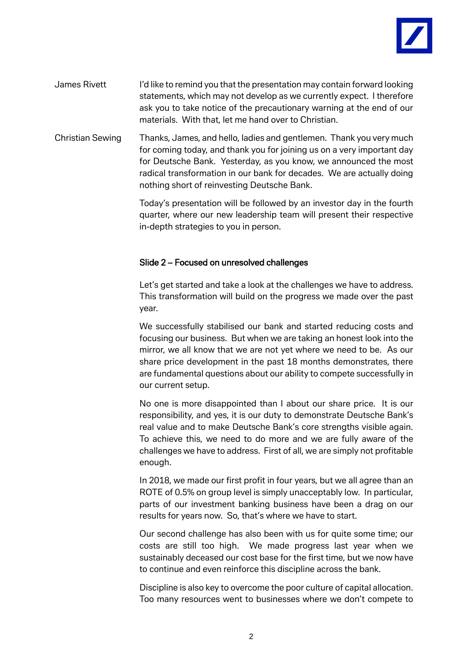

- James Rivett I'd like to remind you that the presentation may contain forward looking statements, which may not develop as we currently expect. I therefore ask you to take notice of the precautionary warning at the end of our materials. With that, let me hand over to Christian.
- Christian Sewing Thanks, James, and hello, ladies and gentlemen. Thank you very much for coming today, and thank you for joining us on a very important day for Deutsche Bank. Yesterday, as you know, we announced the most radical transformation in our bank for decades. We are actually doing nothing short of reinvesting Deutsche Bank.

Today's presentation will be followed by an investor day in the fourth quarter, where our new leadership team will present their respective in-depth strategies to you in person.

# Slide 2 – Focused on unresolved challenges

Let's get started and take a look at the challenges we have to address. This transformation will build on the progress we made over the past year.

We successfully stabilised our bank and started reducing costs and focusing our business. But when we are taking an honest look into the mirror, we all know that we are not yet where we need to be. As our share price development in the past 18 months demonstrates, there are fundamental questions about our ability to compete successfully in our current setup.

No one is more disappointed than I about our share price. It is our responsibility, and yes, it is our duty to demonstrate Deutsche Bank's real value and to make Deutsche Bank's core strengths visible again. To achieve this, we need to do more and we are fully aware of the challenges we have to address. First of all, we are simply not profitable enough.

In 2018, we made our first profit in four years, but we all agree than an ROTE of 0.5% on group level is simply unacceptably low. In particular, parts of our investment banking business have been a drag on our results for years now. So, that's where we have to start.

Our second challenge has also been with us for quite some time; our costs are still too high. We made progress last year when we sustainably deceased our cost base for the first time, but we now have to continue and even reinforce this discipline across the bank.

Discipline is also key to overcome the poor culture of capital allocation. Too many resources went to businesses where we don't compete to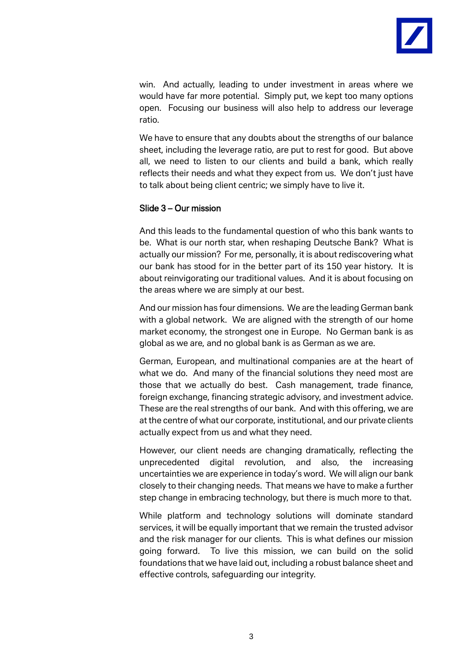

win. And actually, leading to under investment in areas where we would have far more potential. Simply put, we kept too many options open. Focusing our business will also help to address our leverage ratio.

We have to ensure that any doubts about the strengths of our balance sheet, including the leverage ratio, are put to rest for good. But above all, we need to listen to our clients and build a bank, which really reflects their needs and what they expect from us. We don't just have to talk about being client centric; we simply have to live it.

#### Slide 3 – Our mission

And this leads to the fundamental question of who this bank wants to be. What is our north star, when reshaping Deutsche Bank? What is actually our mission? For me, personally, it is about rediscovering what our bank has stood for in the better part of its 150 year history. It is about reinvigorating our traditional values. And it is about focusing on the areas where we are simply at our best.

And our mission has four dimensions. We are the leading German bank with a global network. We are aligned with the strength of our home market economy, the strongest one in Europe. No German bank is as global as we are, and no global bank is as German as we are.

German, European, and multinational companies are at the heart of what we do. And many of the financial solutions they need most are those that we actually do best. Cash management, trade finance, foreign exchange, financing strategic advisory, and investment advice. These are the real strengths of our bank. And with this offering, we are at the centre of what our corporate, institutional, and our private clients actually expect from us and what they need.

However, our client needs are changing dramatically, reflecting the unprecedented digital revolution, and also, the increasing uncertainties we are experience in today's word. We will align our bank closely to their changing needs. That means we have to make a further step change in embracing technology, but there is much more to that.

While platform and technology solutions will dominate standard services, it will be equally important that we remain the trusted advisor and the risk manager for our clients. This is what defines our mission going forward. To live this mission, we can build on the solid foundations that we have laid out, including a robust balance sheet and effective controls, safeguarding our integrity.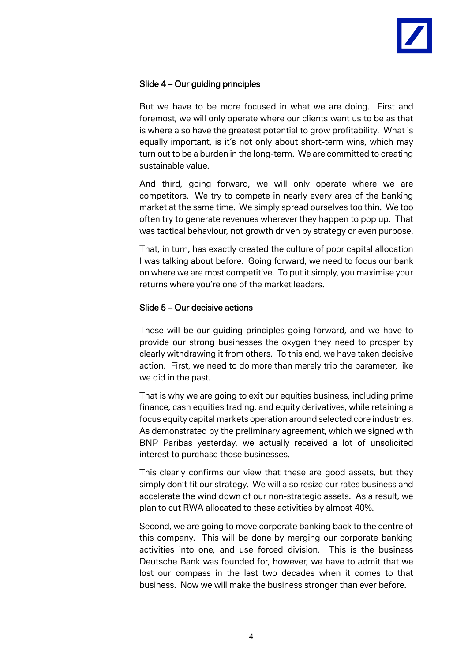

# Slide 4 – Our guiding principles

But we have to be more focused in what we are doing. First and foremost, we will only operate where our clients want us to be as that is where also have the greatest potential to grow profitability. What is equally important, is it's not only about short-term wins, which may turn out to be a burden in the long-term. We are committed to creating sustainable value.

And third, going forward, we will only operate where we are competitors. We try to compete in nearly every area of the banking market at the same time. We simply spread ourselves too thin. We too often try to generate revenues wherever they happen to pop up. That was tactical behaviour, not growth driven by strategy or even purpose.

That, in turn, has exactly created the culture of poor capital allocation I was talking about before. Going forward, we need to focus our bank on where we are most competitive. To put it simply, you maximise your returns where you're one of the market leaders.

# Slide 5 – Our decisive actions

These will be our guiding principles going forward, and we have to provide our strong businesses the oxygen they need to prosper by clearly withdrawing it from others. To this end, we have taken decisive action. First, we need to do more than merely trip the parameter, like we did in the past.

That is why we are going to exit our equities business, including prime finance, cash equities trading, and equity derivatives, while retaining a focus equity capital markets operation around selected core industries. As demonstrated by the preliminary agreement, which we signed with BNP Paribas yesterday, we actually received a lot of unsolicited interest to purchase those businesses.

This clearly confirms our view that these are good assets, but they simply don't fit our strategy. We will also resize our rates business and accelerate the wind down of our non-strategic assets. As a result, we plan to cut RWA allocated to these activities by almost 40%.

Second, we are going to move corporate banking back to the centre of this company. This will be done by merging our corporate banking activities into one, and use forced division. This is the business Deutsche Bank was founded for, however, we have to admit that we lost our compass in the last two decades when it comes to that business. Now we will make the business stronger than ever before.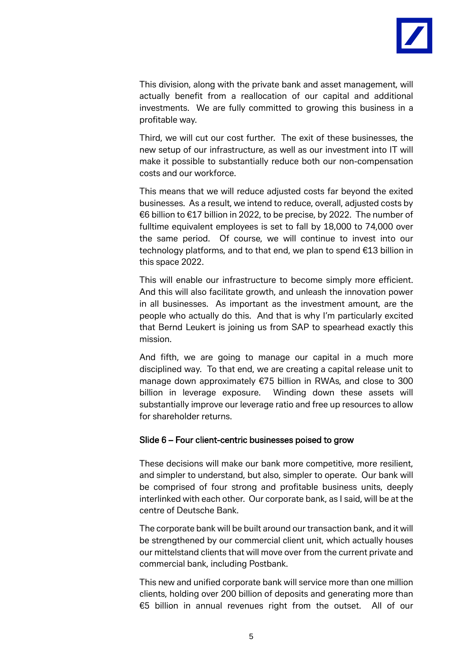

This division, along with the private bank and asset management, will actually benefit from a reallocation of our capital and additional investments. We are fully committed to growing this business in a profitable way.

Third, we will cut our cost further. The exit of these businesses, the new setup of our infrastructure, as well as our investment into IT will make it possible to substantially reduce both our non-compensation costs and our workforce.

This means that we will reduce adjusted costs far beyond the exited businesses. As a result, we intend to reduce, overall, adjusted costs by €6 billion to €17 billion in 2022, to be precise, by 2022. The number of fulltime equivalent employees is set to fall by 18,000 to 74,000 over the same period. Of course, we will continue to invest into our technology platforms, and to that end, we plan to spend €13 billion in this space 2022.

This will enable our infrastructure to become simply more efficient. And this will also facilitate growth, and unleash the innovation power in all businesses. As important as the investment amount, are the people who actually do this. And that is why I'm particularly excited that Bernd Leukert is joining us from SAP to spearhead exactly this mission.

And fifth, we are going to manage our capital in a much more disciplined way. To that end, we are creating a capital release unit to manage down approximately €75 billion in RWAs, and close to 300 billion in leverage exposure. Winding down these assets will substantially improve our leverage ratio and free up resources to allow for shareholder returns.

#### Slide 6 – Four client-centric businesses poised to grow

These decisions will make our bank more competitive, more resilient, and simpler to understand, but also, simpler to operate. Our bank will be comprised of four strong and profitable business units, deeply interlinked with each other. Our corporate bank, as I said, will be at the centre of Deutsche Bank.

The corporate bank will be built around our transaction bank, and it will be strengthened by our commercial client unit, which actually houses our mittelstand clients that will move over from the current private and commercial bank, including Postbank.

This new and unified corporate bank will service more than one million clients, holding over 200 billion of deposits and generating more than €5 billion in annual revenues right from the outset. All of our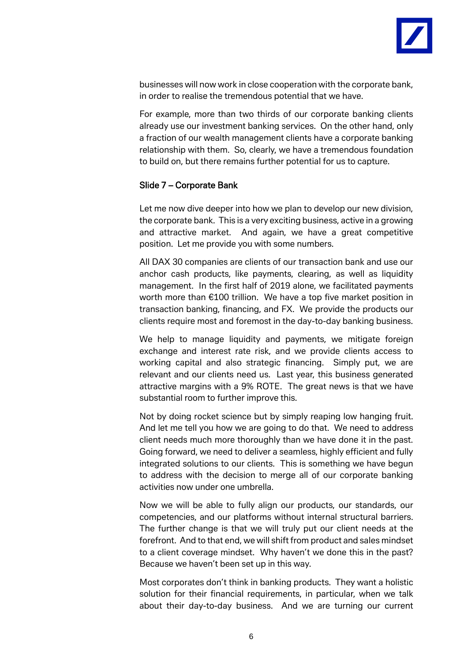

businesses will now work in close cooperation with the corporate bank, in order to realise the tremendous potential that we have.

For example, more than two thirds of our corporate banking clients already use our investment banking services. On the other hand, only a fraction of our wealth management clients have a corporate banking relationship with them. So, clearly, we have a tremendous foundation to build on, but there remains further potential for us to capture.

# Slide 7 – Corporate Bank

Let me now dive deeper into how we plan to develop our new division, the corporate bank. This is a very exciting business, active in a growing and attractive market. And again, we have a great competitive position. Let me provide you with some numbers.

All DAX 30 companies are clients of our transaction bank and use our anchor cash products, like payments, clearing, as well as liquidity management. In the first half of 2019 alone, we facilitated payments worth more than €100 trillion. We have a top five market position in transaction banking, financing, and FX. We provide the products our clients require most and foremost in the day-to-day banking business.

We help to manage liquidity and payments, we mitigate foreign exchange and interest rate risk, and we provide clients access to working capital and also strategic financing. Simply put, we are relevant and our clients need us. Last year, this business generated attractive margins with a 9% ROTE. The great news is that we have substantial room to further improve this.

Not by doing rocket science but by simply reaping low hanging fruit. And let me tell you how we are going to do that. We need to address client needs much more thoroughly than we have done it in the past. Going forward, we need to deliver a seamless, highly efficient and fully integrated solutions to our clients. This is something we have begun to address with the decision to merge all of our corporate banking activities now under one umbrella.

Now we will be able to fully align our products, our standards, our competencies, and our platforms without internal structural barriers. The further change is that we will truly put our client needs at the forefront. And to that end, we will shift from product and sales mindset to a client coverage mindset. Why haven't we done this in the past? Because we haven't been set up in this way.

Most corporates don't think in banking products. They want a holistic solution for their financial requirements, in particular, when we talk about their day-to-day business. And we are turning our current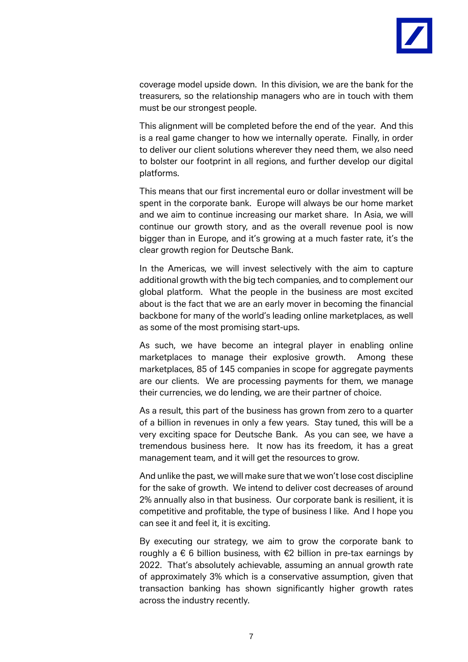

coverage model upside down. In this division, we are the bank for the treasurers, so the relationship managers who are in touch with them must be our strongest people.

This alignment will be completed before the end of the year. And this is a real game changer to how we internally operate. Finally, in order to deliver our client solutions wherever they need them, we also need to bolster our footprint in all regions, and further develop our digital platforms.

This means that our first incremental euro or dollar investment will be spent in the corporate bank. Europe will always be our home market and we aim to continue increasing our market share. In Asia, we will continue our growth story, and as the overall revenue pool is now bigger than in Europe, and it's growing at a much faster rate, it's the clear growth region for Deutsche Bank.

In the Americas, we will invest selectively with the aim to capture additional growth with the big tech companies, and to complement our global platform. What the people in the business are most excited about is the fact that we are an early mover in becoming the financial backbone for many of the world's leading online marketplaces, as well as some of the most promising start-ups.

As such, we have become an integral player in enabling online marketplaces to manage their explosive growth. Among these marketplaces, 85 of 145 companies in scope for aggregate payments are our clients. We are processing payments for them, we manage their currencies, we do lending, we are their partner of choice.

As a result, this part of the business has grown from zero to a quarter of a billion in revenues in only a few years. Stay tuned, this will be a very exciting space for Deutsche Bank. As you can see, we have a tremendous business here. It now has its freedom, it has a great management team, and it will get the resources to grow.

And unlike the past, we will make sure that we won't lose cost discipline for the sake of growth. We intend to deliver cost decreases of around 2% annually also in that business. Our corporate bank is resilient, it is competitive and profitable, the type of business I like. And I hope you can see it and feel it, it is exciting.

By executing our strategy, we aim to grow the corporate bank to roughly a  $\epsilon$  6 billion business, with  $\epsilon$ 2 billion in pre-tax earnings by 2022. That's absolutely achievable, assuming an annual growth rate of approximately 3% which is a conservative assumption, given that transaction banking has shown significantly higher growth rates across the industry recently.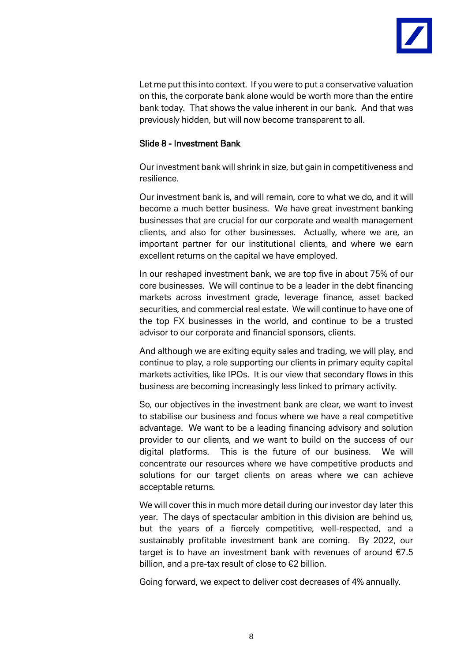

Let me put this into context. If you were to put a conservative valuation on this, the corporate bank alone would be worth more than the entire bank today. That shows the value inherent in our bank. And that was previously hidden, but will now become transparent to all.

#### Slide 8 - Investment Bank

Our investment bank will shrink in size, but gain in competitiveness and resilience.

Our investment bank is, and will remain, core to what we do, and it will become a much better business. We have great investment banking businesses that are crucial for our corporate and wealth management clients, and also for other businesses. Actually, where we are, an important partner for our institutional clients, and where we earn excellent returns on the capital we have employed.

In our reshaped investment bank, we are top five in about 75% of our core businesses. We will continue to be a leader in the debt financing markets across investment grade, leverage finance, asset backed securities, and commercial real estate. We will continue to have one of the top FX businesses in the world, and continue to be a trusted advisor to our corporate and financial sponsors, clients.

And although we are exiting equity sales and trading, we will play, and continue to play, a role supporting our clients in primary equity capital markets activities, like IPOs. It is our view that secondary flows in this business are becoming increasingly less linked to primary activity.

So, our objectives in the investment bank are clear, we want to invest to stabilise our business and focus where we have a real competitive advantage. We want to be a leading financing advisory and solution provider to our clients, and we want to build on the success of our digital platforms. This is the future of our business. We will concentrate our resources where we have competitive products and solutions for our target clients on areas where we can achieve acceptable returns.

We will cover this in much more detail during our investor day later this year. The days of spectacular ambition in this division are behind us, but the years of a fiercely competitive, well-respected, and a sustainably profitable investment bank are coming. By 2022, our target is to have an investment bank with revenues of around  $E7.5$ billion, and a pre-tax result of close to €2 billion.

Going forward, we expect to deliver cost decreases of 4% annually.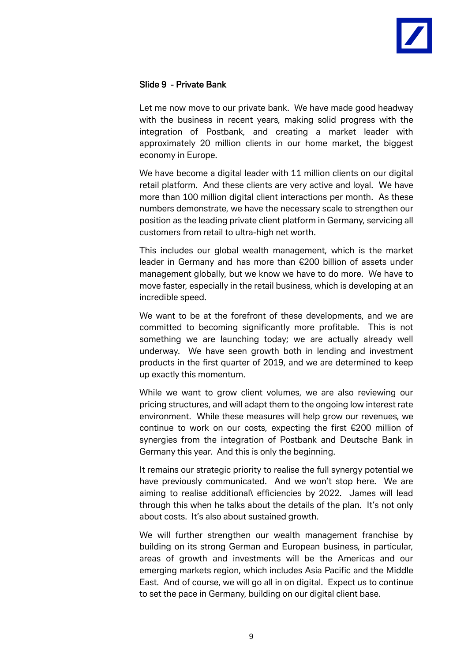

# Slide 9 - Private Bank

Let me now move to our private bank. We have made good headway with the business in recent years, making solid progress with the integration of Postbank, and creating a market leader with approximately 20 million clients in our home market, the biggest economy in Europe.

We have become a digital leader with 11 million clients on our digital retail platform. And these clients are very active and loyal. We have more than 100 million digital client interactions per month. As these numbers demonstrate, we have the necessary scale to strengthen our position as the leading private client platform in Germany, servicing all customers from retail to ultra-high net worth.

This includes our global wealth management, which is the market leader in Germany and has more than €200 billion of assets under management globally, but we know we have to do more. We have to move faster, especially in the retail business, which is developing at an incredible speed.

We want to be at the forefront of these developments, and we are committed to becoming significantly more profitable. This is not something we are launching today; we are actually already well underway. We have seen growth both in lending and investment products in the first quarter of 2019, and we are determined to keep up exactly this momentum.

While we want to grow client volumes, we are also reviewing our pricing structures, and will adapt them to the ongoing low interest rate environment. While these measures will help grow our revenues, we continue to work on our costs, expecting the first €200 million of synergies from the integration of Postbank and Deutsche Bank in Germany this year. And this is only the beginning.

It remains our strategic priority to realise the full synergy potential we have previously communicated. And we won't stop here. We are aiming to realise additional\ efficiencies by 2022. James will lead through this when he talks about the details of the plan. It's not only about costs. It's also about sustained growth.

We will further strengthen our wealth management franchise by building on its strong German and European business, in particular, areas of growth and investments will be the Americas and our emerging markets region, which includes Asia Pacific and the Middle East. And of course, we will go all in on digital. Expect us to continue to set the pace in Germany, building on our digital client base.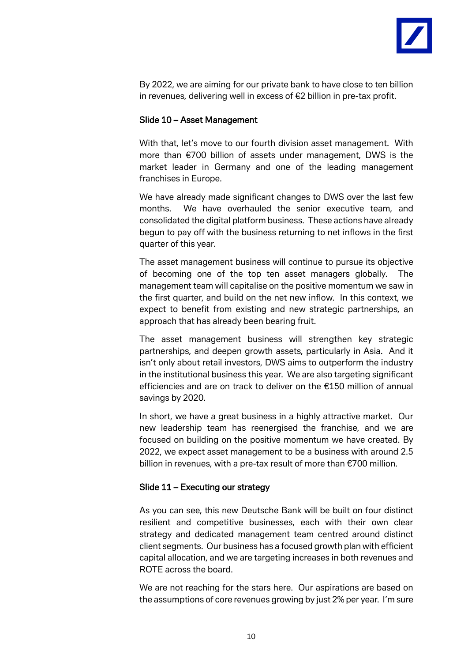

By 2022, we are aiming for our private bank to have close to ten billion in revenues, delivering well in excess of €2 billion in pre-tax profit.

#### Slide 10 – Asset Management

With that, let's move to our fourth division asset management. With more than €700 billion of assets under management, DWS is the market leader in Germany and one of the leading management franchises in Europe.

We have already made significant changes to DWS over the last few months. We have overhauled the senior executive team, and consolidated the digital platform business. These actions have already begun to pay off with the business returning to net inflows in the first quarter of this year.

The asset management business will continue to pursue its objective of becoming one of the top ten asset managers globally. The management team will capitalise on the positive momentum we saw in the first quarter, and build on the net new inflow. In this context, we expect to benefit from existing and new strategic partnerships, an approach that has already been bearing fruit.

The asset management business will strengthen key strategic partnerships, and deepen growth assets, particularly in Asia. And it isn't only about retail investors, DWS aims to outperform the industry in the institutional business this year. We are also targeting significant efficiencies and are on track to deliver on the €150 million of annual savings by 2020.

In short, we have a great business in a highly attractive market. Our new leadership team has reenergised the franchise, and we are focused on building on the positive momentum we have created. By 2022, we expect asset management to be a business with around 2.5 billion in revenues, with a pre-tax result of more than €700 million.

#### Slide 11 – Executing our strategy

As you can see, this new Deutsche Bank will be built on four distinct resilient and competitive businesses, each with their own clear strategy and dedicated management team centred around distinct client segments. Our business has a focused growth plan with efficient capital allocation, and we are targeting increases in both revenues and ROTE across the board.

We are not reaching for the stars here. Our aspirations are based on the assumptions of core revenues growing by just 2% per year. I'm sure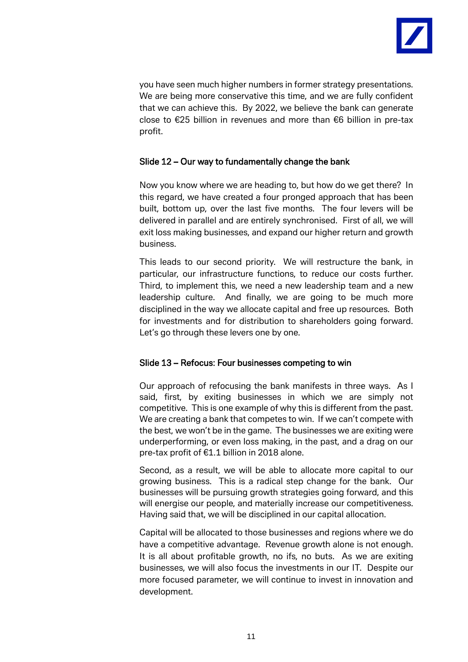

you have seen much higher numbers in former strategy presentations. We are being more conservative this time, and we are fully confident that we can achieve this. By 2022, we believe the bank can generate close to €25 billion in revenues and more than €6 billion in pre-tax profit.

# Slide 12 – Our way to fundamentally change the bank

Now you know where we are heading to, but how do we get there? In this regard, we have created a four pronged approach that has been built, bottom up, over the last five months. The four levers will be delivered in parallel and are entirely synchronised. First of all, we will exit loss making businesses, and expand our higher return and growth business.

This leads to our second priority. We will restructure the bank, in particular, our infrastructure functions, to reduce our costs further. Third, to implement this, we need a new leadership team and a new leadership culture. And finally, we are going to be much more disciplined in the way we allocate capital and free up resources. Both for investments and for distribution to shareholders going forward. Let's go through these levers one by one.

# Slide 13 – Refocus: Four businesses competing to win

Our approach of refocusing the bank manifests in three ways. As I said, first, by exiting businesses in which we are simply not competitive. This is one example of why this is different from the past. We are creating a bank that competes to win. If we can't compete with the best, we won't be in the game. The businesses we are exiting were underperforming, or even loss making, in the past, and a drag on our pre-tax profit of €1.1 billion in 2018 alone.

Second, as a result, we will be able to allocate more capital to our growing business. This is a radical step change for the bank. Our businesses will be pursuing growth strategies going forward, and this will energise our people, and materially increase our competitiveness. Having said that, we will be disciplined in our capital allocation.

Capital will be allocated to those businesses and regions where we do have a competitive advantage. Revenue growth alone is not enough. It is all about profitable growth, no ifs, no buts. As we are exiting businesses, we will also focus the investments in our IT. Despite our more focused parameter, we will continue to invest in innovation and development.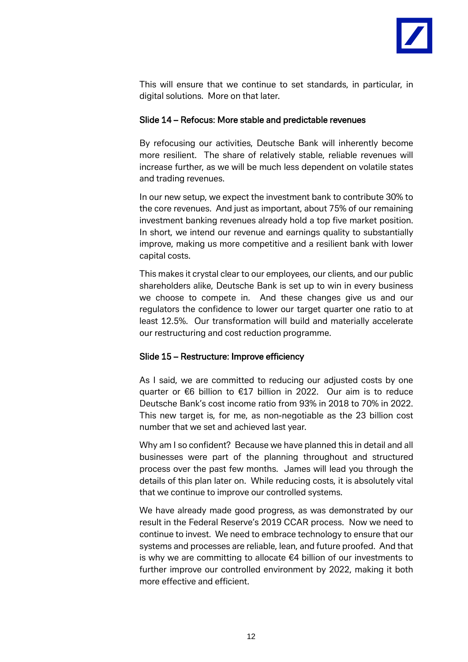

This will ensure that we continue to set standards, in particular, in digital solutions. More on that later.

#### Slide 14 – Refocus: More stable and predictable revenues

By refocusing our activities, Deutsche Bank will inherently become more resilient. The share of relatively stable, reliable revenues will increase further, as we will be much less dependent on volatile states and trading revenues.

In our new setup, we expect the investment bank to contribute 30% to the core revenues. And just as important, about 75% of our remaining investment banking revenues already hold a top five market position. In short, we intend our revenue and earnings quality to substantially improve, making us more competitive and a resilient bank with lower capital costs.

This makes it crystal clear to our employees, our clients, and our public shareholders alike, Deutsche Bank is set up to win in every business we choose to compete in. And these changes give us and our regulators the confidence to lower our target quarter one ratio to at least 12.5%. Our transformation will build and materially accelerate our restructuring and cost reduction programme.

# Slide 15 – Restructure: Improve efficiency

As I said, we are committed to reducing our adjusted costs by one quarter or €6 billion to €17 billion in 2022. Our aim is to reduce Deutsche Bank's cost income ratio from 93% in 2018 to 70% in 2022. This new target is, for me, as non-negotiable as the 23 billion cost number that we set and achieved last year.

Why am I so confident? Because we have planned this in detail and all businesses were part of the planning throughout and structured process over the past few months. James will lead you through the details of this plan later on. While reducing costs, it is absolutely vital that we continue to improve our controlled systems.

We have already made good progress, as was demonstrated by our result in the Federal Reserve's 2019 CCAR process. Now we need to continue to invest. We need to embrace technology to ensure that our systems and processes are reliable, lean, and future proofed. And that is why we are committing to allocate €4 billion of our investments to further improve our controlled environment by 2022, making it both more effective and efficient.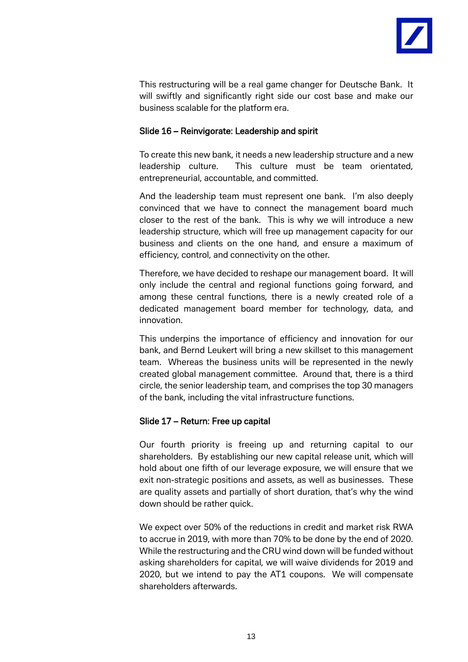

This restructuring will be a real game changer for Deutsche Bank. It will swiftly and significantly right side our cost base and make our business scalable for the platform era.

# Slide 16 – Reinvigorate: Leadership and spirit

To create this new bank, it needs a new leadership structure and a new leadership culture. This culture must be team orientated, entrepreneurial, accountable, and committed.

And the leadership team must represent one bank. I'm also deeply convinced that we have to connect the management board much closer to the rest of the bank. This is why we will introduce a new leadership structure, which will free up management capacity for our business and clients on the one hand, and ensure a maximum of efficiency, control, and connectivity on the other.

Therefore, we have decided to reshape our management board. It will only include the central and regional functions going forward, and among these central functions, there is a newly created role of a dedicated management board member for technology, data, and innovation.

This underpins the importance of efficiency and innovation for our bank, and Bernd Leukert will bring a new skillset to this management team. Whereas the business units will be represented in the newly created global management committee. Around that, there is a third circle, the senior leadership team, and comprises the top 30 managers of the bank, including the vital infrastructure functions.

# Slide 17 – Return: Free up capital

Our fourth priority is freeing up and returning capital to our shareholders. By establishing our new capital release unit, which will hold about one fifth of our leverage exposure, we will ensure that we exit non-strategic positions and assets, as well as businesses. These are quality assets and partially of short duration, that's why the wind down should be rather quick.

We expect over 50% of the reductions in credit and market risk RWA to accrue in 2019, with more than 70% to be done by the end of 2020. While the restructuring and the CRU wind down will be funded without asking shareholders for capital, we will waive dividends for 2019 and 2020, but we intend to pay the AT1 coupons. We will compensate shareholders afterwards.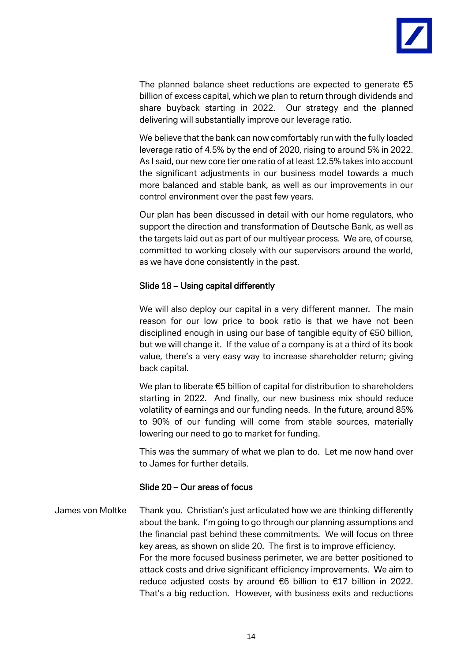

The planned balance sheet reductions are expected to generate  $\epsilon$ 5 billion of excess capital, which we plan to return through dividends and share buyback starting in 2022. Our strategy and the planned delivering will substantially improve our leverage ratio.

We believe that the bank can now comfortably run with the fully loaded leverage ratio of 4.5% by the end of 2020, rising to around 5% in 2022. As I said, our new core tier one ratio of at least 12.5% takes into account the significant adjustments in our business model towards a much more balanced and stable bank, as well as our improvements in our control environment over the past few years.

Our plan has been discussed in detail with our home regulators, who support the direction and transformation of Deutsche Bank, as well as the targets laid out as part of our multiyear process. We are, of course, committed to working closely with our supervisors around the world, as we have done consistently in the past.

# Slide 18 – Using capital differently

We will also deploy our capital in a very different manner. The main reason for our low price to book ratio is that we have not been disciplined enough in using our base of tangible equity of €50 billion, but we will change it. If the value of a company is at a third of its book value, there's a very easy way to increase shareholder return; giving back capital.

We plan to liberate €5 billion of capital for distribution to shareholders starting in 2022. And finally, our new business mix should reduce volatility of earnings and our funding needs. In the future, around 85% to 90% of our funding will come from stable sources, materially lowering our need to go to market for funding.

This was the summary of what we plan to do. Let me now hand over to James for further details.

#### Slide 20 – Our areas of focus

James von Moltke Thank you. Christian's just articulated how we are thinking differently about the bank. I'm going to go through our planning assumptions and the financial past behind these commitments. We will focus on three key areas, as shown on slide 20. The first is to improve efficiency. For the more focused business perimeter, we are better positioned to attack costs and drive significant efficiency improvements. We aim to reduce adjusted costs by around €6 billion to €17 billion in 2022. That's a big reduction. However, with business exits and reductions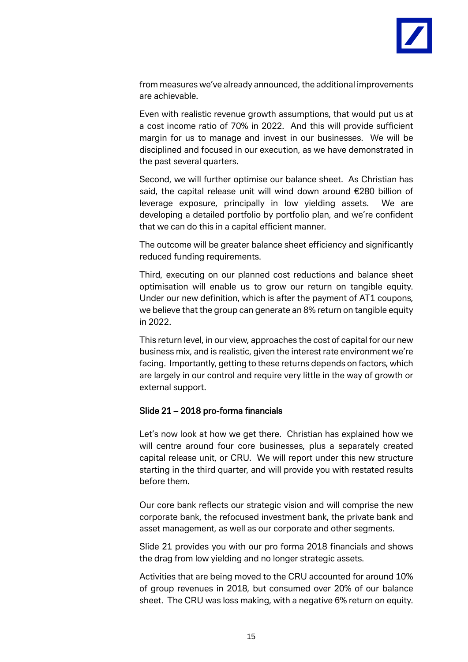

from measures we've already announced, the additional improvements are achievable.

Even with realistic revenue growth assumptions, that would put us at a cost income ratio of 70% in 2022. And this will provide sufficient margin for us to manage and invest in our businesses. We will be disciplined and focused in our execution, as we have demonstrated in the past several quarters.

Second, we will further optimise our balance sheet. As Christian has said, the capital release unit will wind down around €280 billion of leverage exposure, principally in low yielding assets. We are developing a detailed portfolio by portfolio plan, and we're confident that we can do this in a capital efficient manner.

The outcome will be greater balance sheet efficiency and significantly reduced funding requirements.

Third, executing on our planned cost reductions and balance sheet optimisation will enable us to grow our return on tangible equity. Under our new definition, which is after the payment of AT1 coupons, we believe that the group can generate an 8% return on tangible equity in 2022.

This return level, in our view, approaches the cost of capital for our new business mix, and is realistic, given the interest rate environment we're facing. Importantly, getting to these returns depends on factors, which are largely in our control and require very little in the way of growth or external support.

# Slide 21 – 2018 pro-forma financials

Let's now look at how we get there. Christian has explained how we will centre around four core businesses, plus a separately created capital release unit, or CRU. We will report under this new structure starting in the third quarter, and will provide you with restated results before them.

Our core bank reflects our strategic vision and will comprise the new corporate bank, the refocused investment bank, the private bank and asset management, as well as our corporate and other segments.

Slide 21 provides you with our pro forma 2018 financials and shows the drag from low yielding and no longer strategic assets.

Activities that are being moved to the CRU accounted for around 10% of group revenues in 2018, but consumed over 20% of our balance sheet. The CRU was loss making, with a negative 6% return on equity.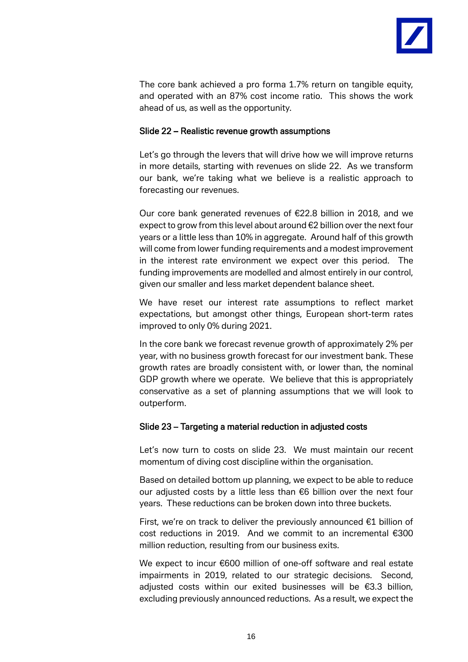

The core bank achieved a pro forma 1.7% return on tangible equity, and operated with an 87% cost income ratio. This shows the work ahead of us, as well as the opportunity.

#### Slide 22 – Realistic revenue growth assumptions

Let's go through the levers that will drive how we will improve returns in more details, starting with revenues on slide 22. As we transform our bank, we're taking what we believe is a realistic approach to forecasting our revenues.

Our core bank generated revenues of €22.8 billion in 2018, and we expect to grow from this level about around €2 billion over the next four years or a little less than 10% in aggregate. Around half of this growth will come from lower funding requirements and a modest improvement in the interest rate environment we expect over this period. The funding improvements are modelled and almost entirely in our control, given our smaller and less market dependent balance sheet.

We have reset our interest rate assumptions to reflect market expectations, but amongst other things, European short-term rates improved to only 0% during 2021.

In the core bank we forecast revenue growth of approximately 2% per year, with no business growth forecast for our investment bank. These growth rates are broadly consistent with, or lower than, the nominal GDP growth where we operate. We believe that this is appropriately conservative as a set of planning assumptions that we will look to outperform.

# Slide 23 – Targeting a material reduction in adjusted costs

Let's now turn to costs on slide 23. We must maintain our recent momentum of diving cost discipline within the organisation.

Based on detailed bottom up planning, we expect to be able to reduce our adjusted costs by a little less than  $€6$  billion over the next four years. These reductions can be broken down into three buckets.

First, we're on track to deliver the previously announced €1 billion of cost reductions in 2019. And we commit to an incremental €300 million reduction, resulting from our business exits.

We expect to incur €600 million of one-off software and real estate impairments in 2019, related to our strategic decisions. Second, adjusted costs within our exited businesses will be €3.3 billion, excluding previously announced reductions. As a result, we expect the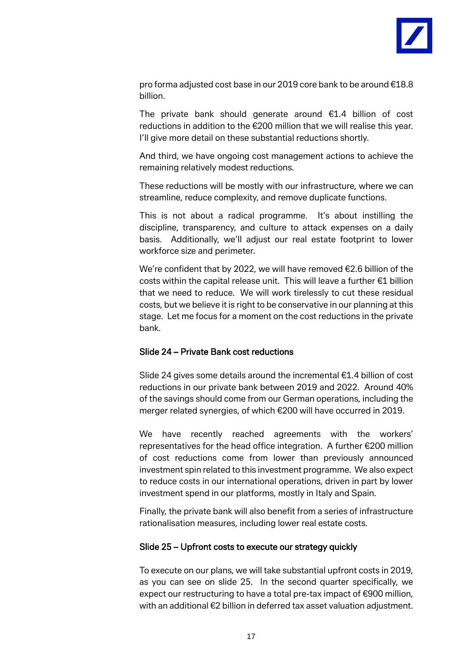

pro forma adjusted cost base in our 2019 core bank to be around €18.8 billion.

The private bank should generate around €1.4 billion of cost reductions in addition to the €200 million that we will realise this year. I'll give more detail on these substantial reductions shortly.

And third, we have ongoing cost management actions to achieve the remaining relatively modest reductions.

These reductions will be mostly with our infrastructure, where we can streamline, reduce complexity, and remove duplicate functions.

This is not about a radical programme. It's about instilling the discipline, transparency, and culture to attack expenses on a daily basis. Additionally, we'll adjust our real estate footprint to lower workforce size and perimeter.

We're confident that by 2022, we will have removed €2.6 billion of the costs within the capital release unit. This will leave a further €1 billion that we need to reduce. We will work tirelessly to cut these residual costs, but we believe it is right to be conservative in our planning at this stage. Let me focus for a moment on the cost reductions in the private bank.

# Slide 24 – Private Bank cost reductions

Slide 24 gives some details around the incremental €1.4 billion of cost reductions in our private bank between 2019 and 2022. Around 40% of the savings should come from our German operations, including the merger related synergies, of which €200 will have occurred in 2019.

We have recently reached agreements with the workers' representatives for the head office integration. A further €200 million of cost reductions come from lower than previously announced investment spin related to this investment programme. We also expect to reduce costs in our international operations, driven in part by lower investment spend in our platforms, mostly in Italy and Spain.

Finally, the private bank will also benefit from a series of infrastructure rationalisation measures, including lower real estate costs.

#### Slide 25 – Upfront costs to execute our strategy quickly

To execute on our plans, we will take substantial upfront costs in 2019, as you can see on slide 25. In the second quarter specifically, we expect our restructuring to have a total pre-tax impact of €900 million, with an additional €2 billion in deferred tax asset valuation adjustment.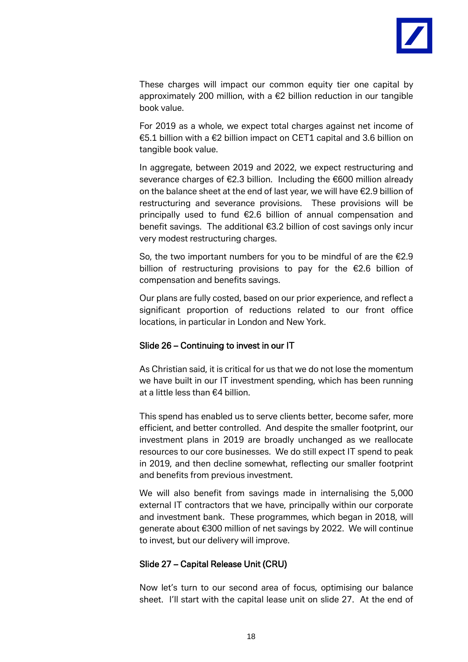

These charges will impact our common equity tier one capital by approximately 200 million, with a €2 billion reduction in our tangible book value.

For 2019 as a whole, we expect total charges against net income of €5.1 billion with a €2 billion impact on CET1 capital and 3.6 billion on tangible book value.

In aggregate, between 2019 and 2022, we expect restructuring and severance charges of €2.3 billion. Including the €600 million already on the balance sheet at the end of last year, we will have €2.9 billion of restructuring and severance provisions. These provisions will be principally used to fund €2.6 billion of annual compensation and benefit savings. The additional €3.2 billion of cost savings only incur very modest restructuring charges.

So, the two important numbers for you to be mindful of are the €2.9 billion of restructuring provisions to pay for the €2.6 billion of compensation and benefits savings.

Our plans are fully costed, based on our prior experience, and reflect a significant proportion of reductions related to our front office locations, in particular in London and New York.

# Slide 26 – Continuing to invest in our IT

 As Christian said, it is critical for us that we do not lose the momentum we have built in our IT investment spending, which has been running at a little less than €4 billion.

This spend has enabled us to serve clients better, become safer, more efficient, and better controlled. And despite the smaller footprint, our investment plans in 2019 are broadly unchanged as we reallocate resources to our core businesses. We do still expect IT spend to peak in 2019, and then decline somewhat, reflecting our smaller footprint and benefits from previous investment.

We will also benefit from savings made in internalising the 5,000 external IT contractors that we have, principally within our corporate and investment bank. These programmes, which began in 2018, will generate about €300 million of net savings by 2022. We will continue to invest, but our delivery will improve.

# Slide 27 – Capital Release Unit (CRU)

Now let's turn to our second area of focus, optimising our balance sheet. I'll start with the capital lease unit on slide 27. At the end of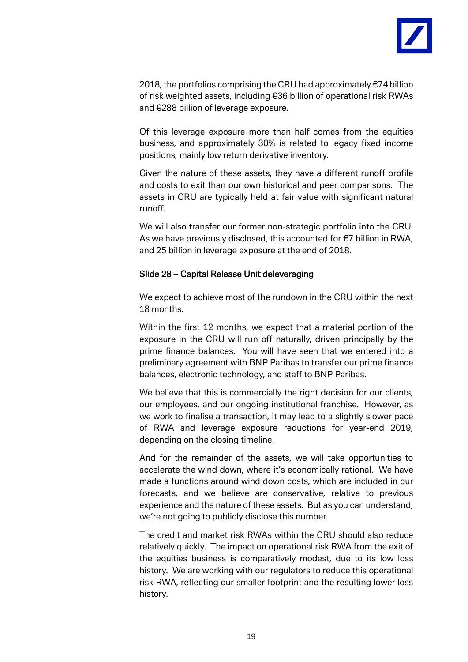

2018, the portfolios comprising the CRU had approximately €74 billion of risk weighted assets, including €36 billion of operational risk RWAs and €288 billion of leverage exposure.

Of this leverage exposure more than half comes from the equities business, and approximately 30% is related to legacy fixed income positions, mainly low return derivative inventory.

Given the nature of these assets, they have a different runoff profile and costs to exit than our own historical and peer comparisons. The assets in CRU are typically held at fair value with significant natural runoff.

We will also transfer our former non-strategic portfolio into the CRU. As we have previously disclosed, this accounted for €7 billion in RWA, and 25 billion in leverage exposure at the end of 2018.

#### Slide 28 – Capital Release Unit deleveraging

We expect to achieve most of the rundown in the CRU within the next 18 months.

Within the first 12 months, we expect that a material portion of the exposure in the CRU will run off naturally, driven principally by the prime finance balances. You will have seen that we entered into a preliminary agreement with BNP Paribas to transfer our prime finance balances, electronic technology, and staff to BNP Paribas.

We believe that this is commercially the right decision for our clients, our employees, and our ongoing institutional franchise. However, as we work to finalise a transaction, it may lead to a slightly slower pace of RWA and leverage exposure reductions for year-end 2019, depending on the closing timeline.

And for the remainder of the assets, we will take opportunities to accelerate the wind down, where it's economically rational. We have made a functions around wind down costs, which are included in our forecasts, and we believe are conservative, relative to previous experience and the nature of these assets. But as you can understand, we're not going to publicly disclose this number.

The credit and market risk RWAs within the CRU should also reduce relatively quickly. The impact on operational risk RWA from the exit of the equities business is comparatively modest, due to its low loss history. We are working with our regulators to reduce this operational risk RWA, reflecting our smaller footprint and the resulting lower loss history.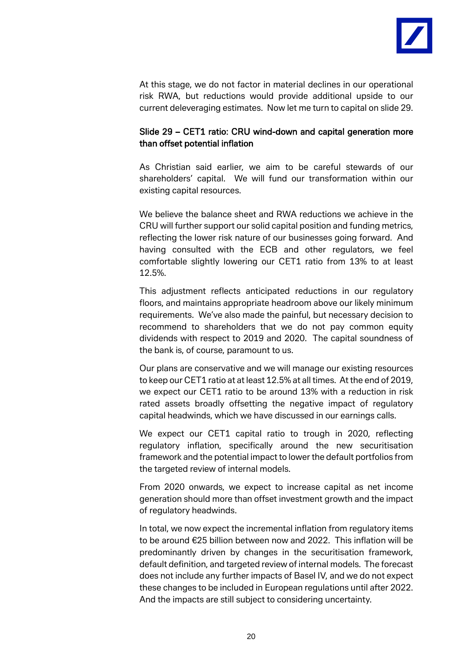

At this stage, we do not factor in material declines in our operational risk RWA, but reductions would provide additional upside to our current deleveraging estimates. Now let me turn to capital on slide 29.

# Slide 29 – CET1 ratio: CRU wind-down and capital generation more than offset potential inflation

 As Christian said earlier, we aim to be careful stewards of our shareholders' capital. We will fund our transformation within our existing capital resources.

We believe the balance sheet and RWA reductions we achieve in the CRU will further support our solid capital position and funding metrics, reflecting the lower risk nature of our businesses going forward. And having consulted with the ECB and other regulators, we feel comfortable slightly lowering our CET1 ratio from 13% to at least 12.5%.

This adjustment reflects anticipated reductions in our regulatory floors, and maintains appropriate headroom above our likely minimum requirements. We've also made the painful, but necessary decision to recommend to shareholders that we do not pay common equity dividends with respect to 2019 and 2020. The capital soundness of the bank is, of course, paramount to us.

Our plans are conservative and we will manage our existing resources to keep our CET1 ratio at at least 12.5% at all times. At the end of 2019, we expect our CET1 ratio to be around 13% with a reduction in risk rated assets broadly offsetting the negative impact of regulatory capital headwinds, which we have discussed in our earnings calls.

We expect our CET1 capital ratio to trough in 2020, reflecting regulatory inflation, specifically around the new securitisation framework and the potential impact to lower the default portfolios from the targeted review of internal models.

From 2020 onwards, we expect to increase capital as net income generation should more than offset investment growth and the impact of regulatory headwinds.

In total, we now expect the incremental inflation from regulatory items to be around €25 billion between now and 2022. This inflation will be predominantly driven by changes in the securitisation framework, default definition, and targeted review of internal models. The forecast does not include any further impacts of Basel IV, and we do not expect these changes to be included in European regulations until after 2022. And the impacts are still subject to considering uncertainty.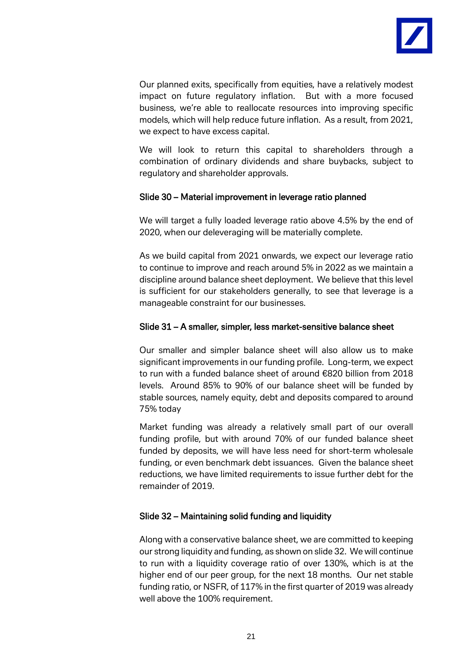

Our planned exits, specifically from equities, have a relatively modest impact on future regulatory inflation. But with a more focused business, we're able to reallocate resources into improving specific models, which will help reduce future inflation. As a result, from 2021, we expect to have excess capital.

We will look to return this capital to shareholders through a combination of ordinary dividends and share buybacks, subject to regulatory and shareholder approvals.

# Slide 30 – Material improvement in leverage ratio planned

We will target a fully loaded leverage ratio above 4.5% by the end of 2020, when our deleveraging will be materially complete.

As we build capital from 2021 onwards, we expect our leverage ratio to continue to improve and reach around 5% in 2022 as we maintain a discipline around balance sheet deployment. We believe that this level is sufficient for our stakeholders generally, to see that leverage is a manageable constraint for our businesses.

# Slide 31 – A smaller, simpler, less market-sensitive balance sheet

Our smaller and simpler balance sheet will also allow us to make significant improvements in our funding profile. Long-term, we expect to run with a funded balance sheet of around €820 billion from 2018 levels. Around 85% to 90% of our balance sheet will be funded by stable sources, namely equity, debt and deposits compared to around 75% today

Market funding was already a relatively small part of our overall funding profile, but with around 70% of our funded balance sheet funded by deposits, we will have less need for short-term wholesale funding, or even benchmark debt issuances. Given the balance sheet reductions, we have limited requirements to issue further debt for the remainder of 2019.

# Slide 32 – Maintaining solid funding and liquidity

Along with a conservative balance sheet, we are committed to keeping our strong liquidity and funding, as shown on slide 32. We will continue to run with a liquidity coverage ratio of over 130%, which is at the higher end of our peer group, for the next 18 months. Our net stable funding ratio, or NSFR, of 117% in the first quarter of 2019 was already well above the 100% requirement.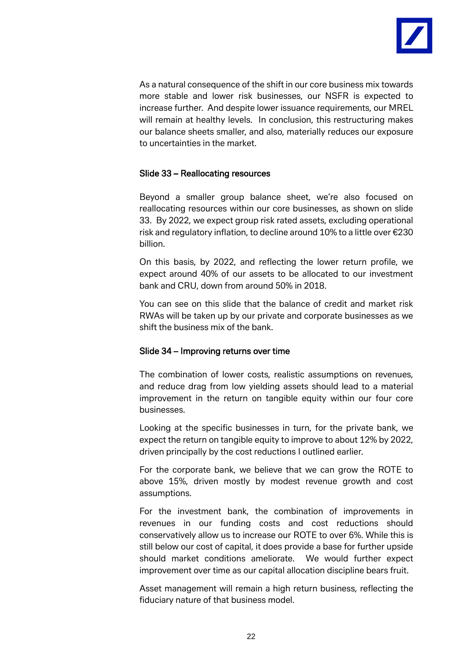

As a natural consequence of the shift in our core business mix towards more stable and lower risk businesses, our NSFR is expected to increase further. And despite lower issuance requirements, our MREL will remain at healthy levels. In conclusion, this restructuring makes our balance sheets smaller, and also, materially reduces our exposure to uncertainties in the market.

# Slide 33 – Reallocating resources

Beyond a smaller group balance sheet, we're also focused on reallocating resources within our core businesses, as shown on slide 33. By 2022, we expect group risk rated assets, excluding operational risk and regulatory inflation, to decline around 10% to a little over €230 billion.

On this basis, by 2022, and reflecting the lower return profile, we expect around 40% of our assets to be allocated to our investment bank and CRU, down from around 50% in 2018.

You can see on this slide that the balance of credit and market risk RWAs will be taken up by our private and corporate businesses as we shift the business mix of the bank.

# Slide 34 – Improving returns over time

The combination of lower costs, realistic assumptions on revenues, and reduce drag from low yielding assets should lead to a material improvement in the return on tangible equity within our four core businesses.

Looking at the specific businesses in turn, for the private bank, we expect the return on tangible equity to improve to about 12% by 2022, driven principally by the cost reductions I outlined earlier.

For the corporate bank, we believe that we can grow the ROTE to above 15%, driven mostly by modest revenue growth and cost assumptions.

For the investment bank, the combination of improvements in revenues in our funding costs and cost reductions should conservatively allow us to increase our ROTE to over 6%. While this is still below our cost of capital, it does provide a base for further upside should market conditions ameliorate. We would further expect improvement over time as our capital allocation discipline bears fruit.

Asset management will remain a high return business, reflecting the fiduciary nature of that business model.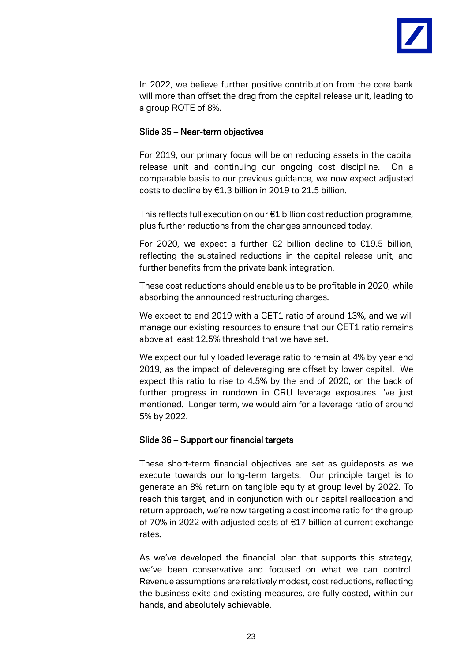

In 2022, we believe further positive contribution from the core bank will more than offset the drag from the capital release unit, leading to a group ROTE of 8%.

# Slide 35 – Near-term objectives

For 2019, our primary focus will be on reducing assets in the capital release unit and continuing our ongoing cost discipline. On a comparable basis to our previous guidance, we now expect adjusted costs to decline by €1.3 billion in 2019 to 21.5 billion.

This reflects full execution on our €1 billion cost reduction programme, plus further reductions from the changes announced today.

For 2020, we expect a further €2 billion decline to €19.5 billion, reflecting the sustained reductions in the capital release unit, and further benefits from the private bank integration.

These cost reductions should enable us to be profitable in 2020, while absorbing the announced restructuring charges.

We expect to end 2019 with a CET1 ratio of around 13%, and we will manage our existing resources to ensure that our CET1 ratio remains above at least 12.5% threshold that we have set.

We expect our fully loaded leverage ratio to remain at 4% by year end 2019, as the impact of deleveraging are offset by lower capital. We expect this ratio to rise to 4.5% by the end of 2020, on the back of further progress in rundown in CRU leverage exposures I've just mentioned. Longer term, we would aim for a leverage ratio of around 5% by 2022.

# Slide 36 – Support our financial targets

These short-term financial objectives are set as guideposts as we execute towards our long-term targets. Our principle target is to generate an 8% return on tangible equity at group level by 2022. To reach this target, and in conjunction with our capital reallocation and return approach, we're now targeting a cost income ratio for the group of 70% in 2022 with adjusted costs of €17 billion at current exchange rates.

As we've developed the financial plan that supports this strategy, we've been conservative and focused on what we can control. Revenue assumptions are relatively modest, cost reductions, reflecting the business exits and existing measures, are fully costed, within our hands, and absolutely achievable.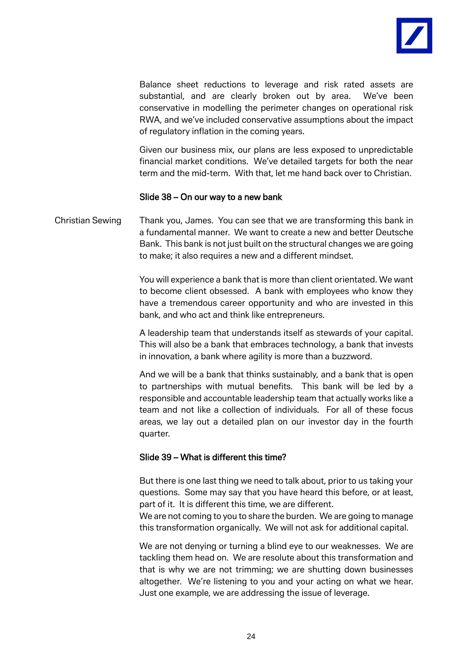

Balance sheet reductions to leverage and risk rated assets are substantial, and are clearly broken out by area. We've been conservative in modelling the perimeter changes on operational risk RWA, and we've included conservative assumptions about the impact of regulatory inflation in the coming years.

Given our business mix, our plans are less exposed to unpredictable financial market conditions. We've detailed targets for both the near term and the mid-term. With that, let me hand back over to Christian.

#### Slide 38 – On our way to a new bank

Christian Sewing Thank you, James. You can see that we are transforming this bank in a fundamental manner. We want to create a new and better Deutsche Bank. This bank is not just built on the structural changes we are going to make; it also requires a new and a different mindset.

> You will experience a bank that is more than client orientated. We want to become client obsessed. A bank with employees who know they have a tremendous career opportunity and who are invested in this bank, and who act and think like entrepreneurs.

> A leadership team that understands itself as stewards of your capital. This will also be a bank that embraces technology, a bank that invests in innovation, a bank where agility is more than a buzzword.

> And we will be a bank that thinks sustainably, and a bank that is open to partnerships with mutual benefits. This bank will be led by a responsible and accountable leadership team that actually works like a team and not like a collection of individuals. For all of these focus areas, we lay out a detailed plan on our investor day in the fourth quarter.

#### Slide 39 – What is different this time?

But there is one last thing we need to talk about, prior to us taking your questions. Some may say that you have heard this before, or at least, part of it. It is different this time, we are different.

We are not coming to you to share the burden. We are going to manage this transformation organically. We will not ask for additional capital.

We are not denying or turning a blind eye to our weaknesses. We are tackling them head on. We are resolute about this transformation and that is why we are not trimming; we are shutting down businesses altogether. We're listening to you and your acting on what we hear. Just one example, we are addressing the issue of leverage.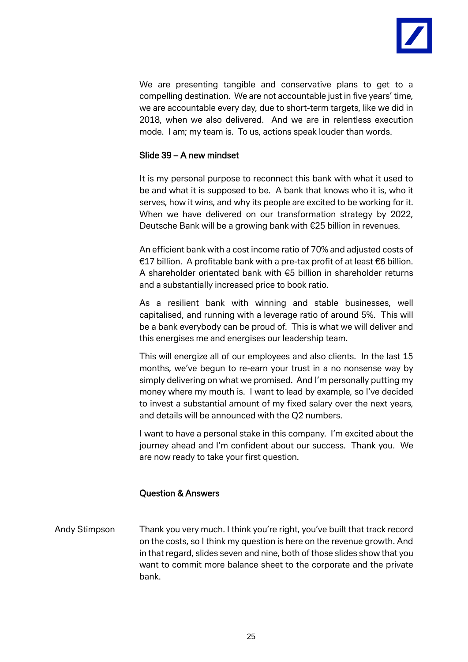

We are presenting tangible and conservative plans to get to a compelling destination. We are not accountable just in five years' time, we are accountable every day, due to short-term targets, like we did in 2018, when we also delivered. And we are in relentless execution mode. I am; my team is. To us, actions speak louder than words.

#### Slide 39 – A new mindset

It is my personal purpose to reconnect this bank with what it used to be and what it is supposed to be. A bank that knows who it is, who it serves, how it wins, and why its people are excited to be working for it. When we have delivered on our transformation strategy by 2022, Deutsche Bank will be a growing bank with €25 billion in revenues.

An efficient bank with a cost income ratio of 70% and adjusted costs of €17 billion. A profitable bank with a pre-tax profit of at least €6 billion. A shareholder orientated bank with €5 billion in shareholder returns and a substantially increased price to book ratio.

As a resilient bank with winning and stable businesses, well capitalised, and running with a leverage ratio of around 5%. This will be a bank everybody can be proud of. This is what we will deliver and this energises me and energises our leadership team.

This will energize all of our employees and also clients. In the last 15 months, we've begun to re-earn your trust in a no nonsense way by simply delivering on what we promised. And I'm personally putting my money where my mouth is. I want to lead by example, so I've decided to invest a substantial amount of my fixed salary over the next years, and details will be announced with the Q2 numbers.

I want to have a personal stake in this company. I'm excited about the journey ahead and I'm confident about our success. Thank you. We are now ready to take your first question.

# Question & Answers

Andy Stimpson Thank you very much. I think you're right, you've built that track record on the costs, so I think my question is here on the revenue growth. And in that regard, slides seven and nine, both of those slides show that you want to commit more balance sheet to the corporate and the private bank.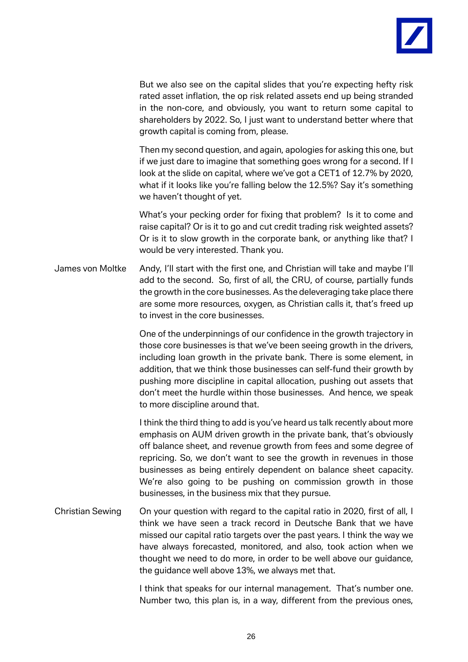

But we also see on the capital slides that you're expecting hefty risk rated asset inflation, the op risk related assets end up being stranded in the non-core, and obviously, you want to return some capital to shareholders by 2022. So, I just want to understand better where that growth capital is coming from, please.

Then my second question, and again, apologies for asking this one, but if we just dare to imagine that something goes wrong for a second. If I look at the slide on capital, where we've got a CET1 of 12.7% by 2020, what if it looks like you're falling below the 12.5%? Say it's something we haven't thought of yet.

What's your pecking order for fixing that problem? Is it to come and raise capital? Or is it to go and cut credit trading risk weighted assets? Or is it to slow growth in the corporate bank, or anything like that? I would be very interested. Thank you.

James von Moltke Andy, I'll start with the first one, and Christian will take and maybe I'll add to the second. So, first of all, the CRU, of course, partially funds the growth in the core businesses. As the deleveraging take place there are some more resources, oxygen, as Christian calls it, that's freed up to invest in the core businesses.

> One of the underpinnings of our confidence in the growth trajectory in those core businesses is that we've been seeing growth in the drivers, including loan growth in the private bank. There is some element, in addition, that we think those businesses can self-fund their growth by pushing more discipline in capital allocation, pushing out assets that don't meet the hurdle within those businesses. And hence, we speak to more discipline around that.

> I think the third thing to add is you've heard us talk recently about more emphasis on AUM driven growth in the private bank, that's obviously off balance sheet, and revenue growth from fees and some degree of repricing. So, we don't want to see the growth in revenues in those businesses as being entirely dependent on balance sheet capacity. We're also going to be pushing on commission growth in those businesses, in the business mix that they pursue.

Christian Sewing On your question with regard to the capital ratio in 2020, first of all, I think we have seen a track record in Deutsche Bank that we have missed our capital ratio targets over the past years. I think the way we have always forecasted, monitored, and also, took action when we thought we need to do more, in order to be well above our guidance, the guidance well above 13%, we always met that.

> I think that speaks for our internal management. That's number one. Number two, this plan is, in a way, different from the previous ones,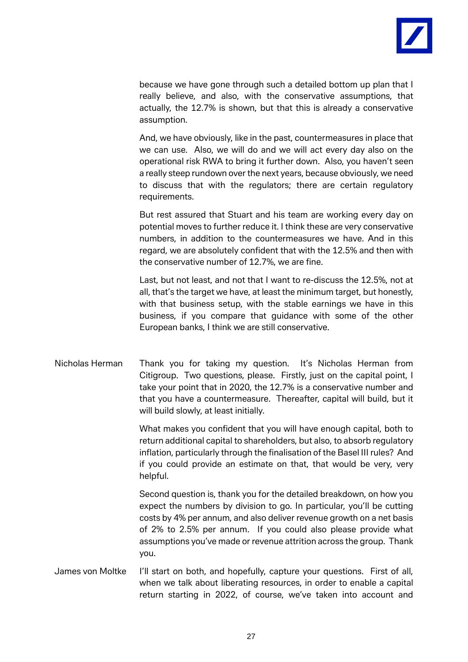

because we have gone through such a detailed bottom up plan that I really believe, and also, with the conservative assumptions, that actually, the 12.7% is shown, but that this is already a conservative assumption.

And, we have obviously, like in the past, countermeasures in place that we can use. Also, we will do and we will act every day also on the operational risk RWA to bring it further down. Also, you haven't seen a really steep rundown over the next years, because obviously, we need to discuss that with the regulators; there are certain regulatory requirements.

But rest assured that Stuart and his team are working every day on potential moves to further reduce it. I think these are very conservative numbers, in addition to the countermeasures we have. And in this regard, we are absolutely confident that with the 12.5% and then with the conservative number of 12.7%, we are fine.

Last, but not least, and not that I want to re-discuss the 12.5%, not at all, that's the target we have, at least the minimum target, but honestly, with that business setup, with the stable earnings we have in this business, if you compare that guidance with some of the other European banks, I think we are still conservative.

Nicholas Herman Thank you for taking my question. It's Nicholas Herman from Citigroup. Two questions, please. Firstly, just on the capital point, I take your point that in 2020, the 12.7% is a conservative number and that you have a countermeasure. Thereafter, capital will build, but it will build slowly, at least initially.

> What makes you confident that you will have enough capital, both to return additional capital to shareholders, but also, to absorb regulatory inflation, particularly through the finalisation of the Basel III rules? And if you could provide an estimate on that, that would be very, very helpful.

> Second question is, thank you for the detailed breakdown, on how you expect the numbers by division to go. In particular, you'll be cutting costs by 4% per annum, and also deliver revenue growth on a net basis of 2% to 2.5% per annum. If you could also please provide what assumptions you've made or revenue attrition across the group. Thank you.

James von Moltke I'll start on both, and hopefully, capture your questions. First of all, when we talk about liberating resources, in order to enable a capital return starting in 2022, of course, we've taken into account and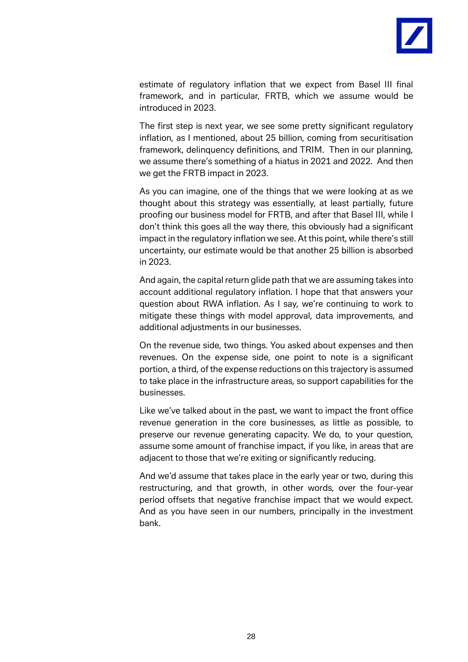

estimate of regulatory inflation that we expect from Basel III final framework, and in particular, FRTB, which we assume would be introduced in 2023.

The first step is next year, we see some pretty significant regulatory inflation, as I mentioned, about 25 billion, coming from securitisation framework, delinquency definitions, and TRIM. Then in our planning, we assume there's something of a hiatus in 2021 and 2022. And then we get the FRTB impact in 2023.

As you can imagine, one of the things that we were looking at as we thought about this strategy was essentially, at least partially, future proofing our business model for FRTB, and after that Basel III, while I don't think this goes all the way there, this obviously had a significant impact in the regulatory inflation we see. At this point, while there's still uncertainty, our estimate would be that another 25 billion is absorbed in 2023.

And again, the capital return glide path that we are assuming takes into account additional regulatory inflation. I hope that that answers your question about RWA inflation. As I say, we're continuing to work to mitigate these things with model approval, data improvements, and additional adjustments in our businesses.

On the revenue side, two things. You asked about expenses and then revenues. On the expense side, one point to note is a significant portion, a third, of the expense reductions on this trajectory is assumed to take place in the infrastructure areas, so support capabilities for the businesses.

Like we've talked about in the past, we want to impact the front office revenue generation in the core businesses, as little as possible, to preserve our revenue generating capacity. We do, to your question, assume some amount of franchise impact, if you like, in areas that are adjacent to those that we're exiting or significantly reducing.

And we'd assume that takes place in the early year or two, during this restructuring, and that growth, in other words, over the four-year period offsets that negative franchise impact that we would expect. And as you have seen in our numbers, principally in the investment bank.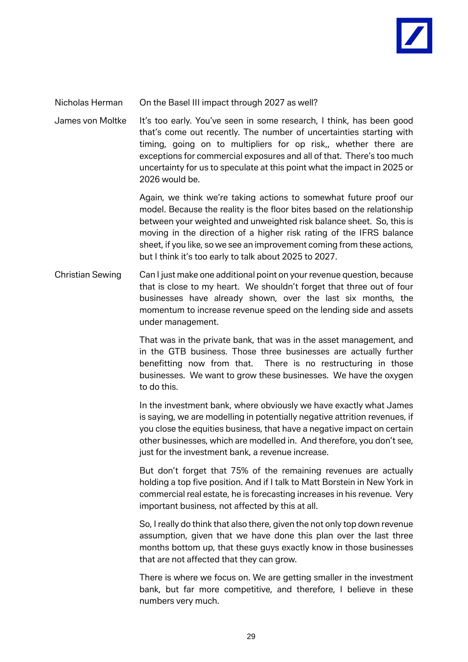

#### Nicholas Herman On the Basel III impact through 2027 as well?

James von Moltke It's too early. You've seen in some research, I think, has been good that's come out recently. The number of uncertainties starting with timing, going on to multipliers for op risk,, whether there are exceptions for commercial exposures and all of that. There's too much uncertainty for us to speculate at this point what the impact in 2025 or 2026 would be.

> Again, we think we're taking actions to somewhat future proof our model. Because the reality is the floor bites based on the relationship between your weighted and unweighted risk balance sheet. So, this is moving in the direction of a higher risk rating of the IFRS balance sheet, if you like, so we see an improvement coming from these actions, but I think it's too early to talk about 2025 to 2027.

Christian Sewing Can I just make one additional point on your revenue question, because that is close to my heart. We shouldn't forget that three out of four businesses have already shown, over the last six months, the momentum to increase revenue speed on the lending side and assets under management.

> That was in the private bank, that was in the asset management, and in the GTB business. Those three businesses are actually further benefitting now from that. There is no restructuring in those businesses. We want to grow these businesses. We have the oxygen to do this.

> In the investment bank, where obviously we have exactly what James is saying, we are modelling in potentially negative attrition revenues, if you close the equities business, that have a negative impact on certain other businesses, which are modelled in. And therefore, you don't see, just for the investment bank, a revenue increase.

> But don't forget that 75% of the remaining revenues are actually holding a top five position. And if I talk to Matt Borstein in New York in commercial real estate, he is forecasting increases in his revenue. Very important business, not affected by this at all.

> So, I really do think that also there, given the not only top down revenue assumption, given that we have done this plan over the last three months bottom up, that these guys exactly know in those businesses that are not affected that they can grow.

> There is where we focus on. We are getting smaller in the investment bank, but far more competitive, and therefore, I believe in these numbers very much.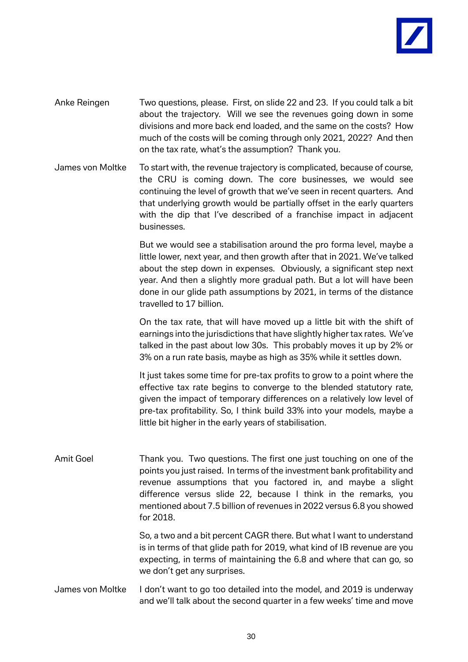

- Anke Reingen Two questions, please. First, on slide 22 and 23. If you could talk a bit about the trajectory. Will we see the revenues going down in some divisions and more back end loaded, and the same on the costs? How much of the costs will be coming through only 2021, 2022? And then on the tax rate, what's the assumption? Thank you.
- James von Moltke To start with, the revenue trajectory is complicated, because of course, the CRU is coming down. The core businesses, we would see continuing the level of growth that we've seen in recent quarters. And that underlying growth would be partially offset in the early quarters with the dip that I've described of a franchise impact in adjacent businesses.

But we would see a stabilisation around the pro forma level, maybe a little lower, next year, and then growth after that in 2021. We've talked about the step down in expenses. Obviously, a significant step next year. And then a slightly more gradual path. But a lot will have been done in our glide path assumptions by 2021, in terms of the distance travelled to 17 billion.

On the tax rate, that will have moved up a little bit with the shift of earnings into the jurisdictions that have slightly higher tax rates. We've talked in the past about low 30s. This probably moves it up by 2% or 3% on a run rate basis, maybe as high as 35% while it settles down.

It just takes some time for pre-tax profits to grow to a point where the effective tax rate begins to converge to the blended statutory rate, given the impact of temporary differences on a relatively low level of pre-tax profitability. So, I think build 33% into your models, maybe a little bit higher in the early years of stabilisation.

Amit Goel Thank you. Two questions. The first one just touching on one of the points you just raised. In terms of the investment bank profitability and revenue assumptions that you factored in, and maybe a slight difference versus slide 22, because I think in the remarks, you mentioned about 7.5 billion of revenues in 2022 versus 6.8 you showed for 2018.

> So, a two and a bit percent CAGR there. But what I want to understand is in terms of that glide path for 2019, what kind of IB revenue are you expecting, in terms of maintaining the 6.8 and where that can go, so we don't get any surprises.

James von Moltke I don't want to go too detailed into the model, and 2019 is underway and we'll talk about the second quarter in a few weeks' time and move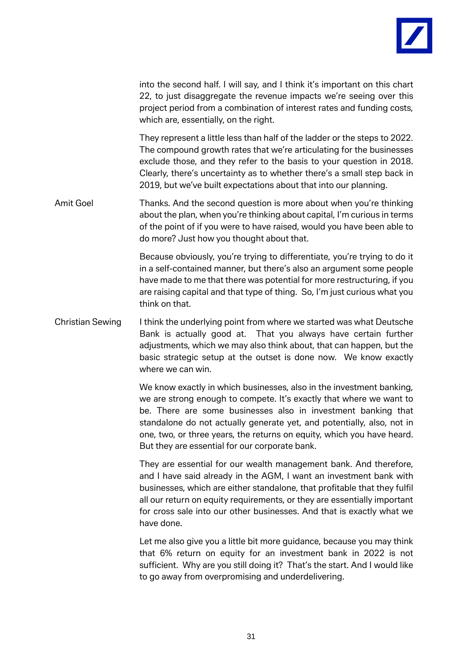

into the second half. I will say, and I think it's important on this chart 22, to just disaggregate the revenue impacts we're seeing over this project period from a combination of interest rates and funding costs, which are, essentially, on the right. They represent a little less than half of the ladder or the steps to 2022. The compound growth rates that we're articulating for the businesses exclude those, and they refer to the basis to your question in 2018. Clearly, there's uncertainty as to whether there's a small step back in 2019, but we've built expectations about that into our planning.

Amit Goel Thanks. And the second question is more about when you're thinking about the plan, when you're thinking about capital, I'm curious in terms of the point of if you were to have raised, would you have been able to do more? Just how you thought about that.

> Because obviously, you're trying to differentiate, you're trying to do it in a self-contained manner, but there's also an argument some people have made to me that there was potential for more restructuring, if you are raising capital and that type of thing. So, I'm just curious what you think on that.

Christian Sewing I think the underlying point from where we started was what Deutsche Bank is actually good at. That you always have certain further adjustments, which we may also think about, that can happen, but the basic strategic setup at the outset is done now. We know exactly where we can win.

> We know exactly in which businesses, also in the investment banking, we are strong enough to compete. It's exactly that where we want to be. There are some businesses also in investment banking that standalone do not actually generate yet, and potentially, also, not in one, two, or three years, the returns on equity, which you have heard. But they are essential for our corporate bank.

> They are essential for our wealth management bank. And therefore, and I have said already in the AGM, I want an investment bank with businesses, which are either standalone, that profitable that they fulfil all our return on equity requirements, or they are essentially important for cross sale into our other businesses. And that is exactly what we have done.

> Let me also give you a little bit more guidance, because you may think that 6% return on equity for an investment bank in 2022 is not sufficient. Why are you still doing it? That's the start. And I would like to go away from overpromising and underdelivering.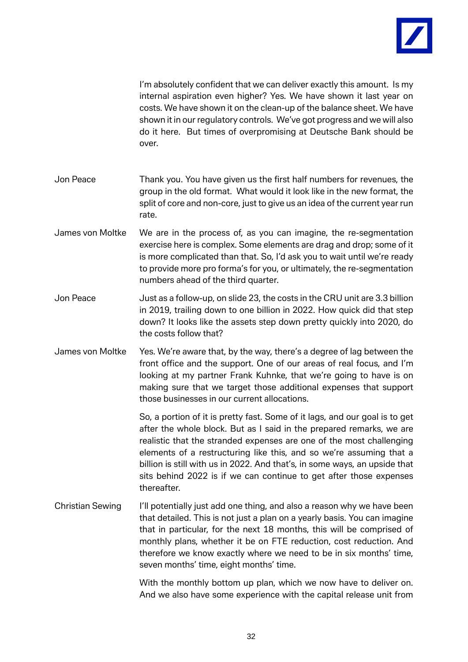

I'm absolutely confident that we can deliver exactly this amount. Is my internal aspiration even higher? Yes. We have shown it last year on costs. We have shown it on the clean-up of the balance sheet. We have shown it in our regulatory controls. We've got progress and we will also do it here. But times of overpromising at Deutsche Bank should be over.

- Jon Peace Thank you. You have given us the first half numbers for revenues, the group in the old format. What would it look like in the new format, the split of core and non-core, just to give us an idea of the current year run rate.
- James von Moltke We are in the process of, as you can imagine, the re-segmentation exercise here is complex. Some elements are drag and drop; some of it is more complicated than that. So, I'd ask you to wait until we're ready to provide more pro forma's for you, or ultimately, the re-segmentation numbers ahead of the third quarter.
- Jon Peace Just as a follow-up, on slide 23, the costs in the CRU unit are 3.3 billion in 2019, trailing down to one billion in 2022. How quick did that step down? It looks like the assets step down pretty quickly into 2020, do the costs follow that?
- James von Moltke Yes. We're aware that, by the way, there's a degree of lag between the front office and the support. One of our areas of real focus, and I'm looking at my partner Frank Kuhnke, that we're going to have is on making sure that we target those additional expenses that support those businesses in our current allocations.

So, a portion of it is pretty fast. Some of it lags, and our goal is to get after the whole block. But as I said in the prepared remarks, we are realistic that the stranded expenses are one of the most challenging elements of a restructuring like this, and so we're assuming that a billion is still with us in 2022. And that's, in some ways, an upside that sits behind 2022 is if we can continue to get after those expenses thereafter.

Christian Sewing I'll potentially just add one thing, and also a reason why we have been that detailed. This is not just a plan on a yearly basis. You can imagine that in particular, for the next 18 months, this will be comprised of monthly plans, whether it be on FTE reduction, cost reduction. And therefore we know exactly where we need to be in six months' time, seven months' time, eight months' time.

> With the monthly bottom up plan, which we now have to deliver on. And we also have some experience with the capital release unit from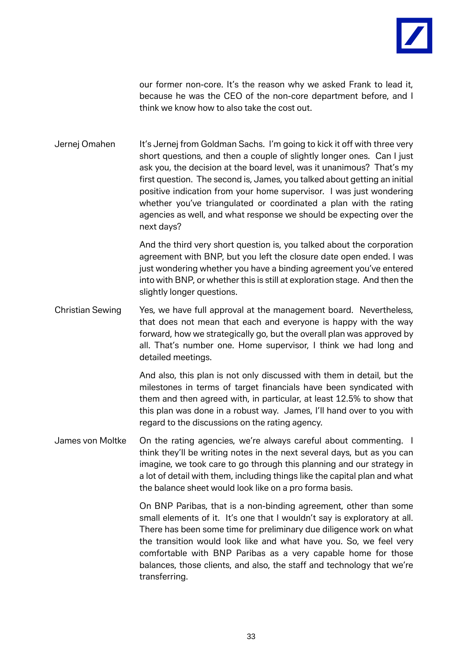

our former non-core. It's the reason why we asked Frank to lead it, because he was the CEO of the non-core department before, and I think we know how to also take the cost out.

Jernej Omahen It's Jernej from Goldman Sachs. I'm going to kick it off with three very short questions, and then a couple of slightly longer ones. Can I just ask you, the decision at the board level, was it unanimous? That's my first question. The second is, James, you talked about getting an initial positive indication from your home supervisor. I was just wondering whether you've triangulated or coordinated a plan with the rating agencies as well, and what response we should be expecting over the next days?

> And the third very short question is, you talked about the corporation agreement with BNP, but you left the closure date open ended. I was just wondering whether you have a binding agreement you've entered into with BNP, or whether this is still at exploration stage. And then the slightly longer questions.

Christian Sewing Yes, we have full approval at the management board. Nevertheless, that does not mean that each and everyone is happy with the way forward, how we strategically go, but the overall plan was approved by all. That's number one. Home supervisor, I think we had long and detailed meetings.

> And also, this plan is not only discussed with them in detail, but the milestones in terms of target financials have been syndicated with them and then agreed with, in particular, at least 12.5% to show that this plan was done in a robust way. James, I'll hand over to you with regard to the discussions on the rating agency.

James von Moltke On the rating agencies, we're always careful about commenting. I think they'll be writing notes in the next several days, but as you can imagine, we took care to go through this planning and our strategy in a lot of detail with them, including things like the capital plan and what the balance sheet would look like on a pro forma basis.

> On BNP Paribas, that is a non-binding agreement, other than some small elements of it. It's one that I wouldn't say is exploratory at all. There has been some time for preliminary due diligence work on what the transition would look like and what have you. So, we feel very comfortable with BNP Paribas as a very capable home for those balances, those clients, and also, the staff and technology that we're transferring.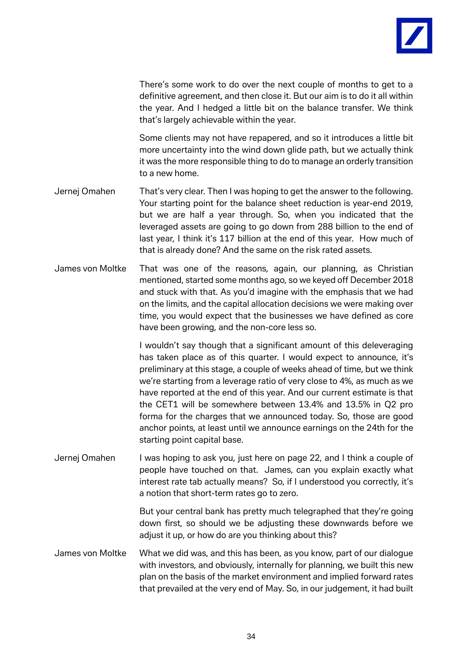

There's some work to do over the next couple of months to get to a definitive agreement, and then close it. But our aim is to do it all within the year. And I hedged a little bit on the balance transfer. We think that's largely achievable within the year.

Some clients may not have repapered, and so it introduces a little bit more uncertainty into the wind down glide path, but we actually think it was the more responsible thing to do to manage an orderly transition to a new home.

- Jernej Omahen That's very clear. Then I was hoping to get the answer to the following. Your starting point for the balance sheet reduction is year-end 2019, but we are half a year through. So, when you indicated that the leveraged assets are going to go down from 288 billion to the end of last year, I think it's 117 billion at the end of this year. How much of that is already done? And the same on the risk rated assets.
- James von Moltke That was one of the reasons, again, our planning, as Christian mentioned, started some months ago, so we keyed off December 2018 and stuck with that. As you'd imagine with the emphasis that we had on the limits, and the capital allocation decisions we were making over time, you would expect that the businesses we have defined as core have been growing, and the non-core less so.

I wouldn't say though that a significant amount of this deleveraging has taken place as of this quarter. I would expect to announce, it's preliminary at this stage, a couple of weeks ahead of time, but we think we're starting from a leverage ratio of very close to 4%, as much as we have reported at the end of this year. And our current estimate is that the CET1 will be somewhere between 13.4% and 13.5% in Q2 pro forma for the charges that we announced today. So, those are good anchor points, at least until we announce earnings on the 24th for the starting point capital base.

Jernej Omahen I was hoping to ask you, just here on page 22, and I think a couple of people have touched on that. James, can you explain exactly what interest rate tab actually means? So, if I understood you correctly, it's a notion that short-term rates go to zero.

> But your central bank has pretty much telegraphed that they're going down first, so should we be adjusting these downwards before we adjust it up, or how do are you thinking about this?

James von Moltke What we did was, and this has been, as you know, part of our dialogue with investors, and obviously, internally for planning, we built this new plan on the basis of the market environment and implied forward rates that prevailed at the very end of May. So, in our judgement, it had built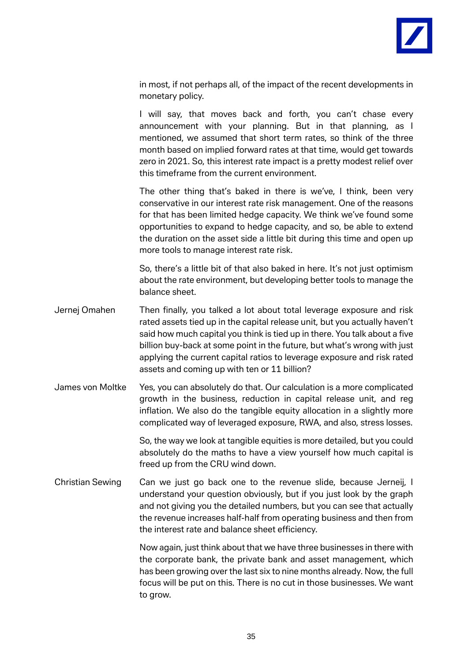

in most, if not perhaps all, of the impact of the recent developments in monetary policy.

I will say, that moves back and forth, you can't chase every announcement with your planning. But in that planning, as I mentioned, we assumed that short term rates, so think of the three month based on implied forward rates at that time, would get towards zero in 2021. So, this interest rate impact is a pretty modest relief over this timeframe from the current environment.

The other thing that's baked in there is we've, I think, been very conservative in our interest rate risk management. One of the reasons for that has been limited hedge capacity. We think we've found some opportunities to expand to hedge capacity, and so, be able to extend the duration on the asset side a little bit during this time and open up more tools to manage interest rate risk.

So, there's a little bit of that also baked in here. It's not just optimism about the rate environment, but developing better tools to manage the balance sheet.

- Jernej Omahen Then finally, you talked a lot about total leverage exposure and risk rated assets tied up in the capital release unit, but you actually haven't said how much capital you think is tied up in there. You talk about a five billion buy-back at some point in the future, but what's wrong with just applying the current capital ratios to leverage exposure and risk rated assets and coming up with ten or 11 billion?
- James von Moltke Yes, you can absolutely do that. Our calculation is a more complicated growth in the business, reduction in capital release unit, and reg inflation. We also do the tangible equity allocation in a slightly more complicated way of leveraged exposure, RWA, and also, stress losses.

So, the way we look at tangible equities is more detailed, but you could absolutely do the maths to have a view yourself how much capital is freed up from the CRU wind down.

Christian Sewing Can we just go back one to the revenue slide, because Jerneij, I understand your question obviously, but if you just look by the graph and not giving you the detailed numbers, but you can see that actually the revenue increases half-half from operating business and then from the interest rate and balance sheet efficiency.

> Now again, just think about that we have three businesses in there with the corporate bank, the private bank and asset management, which has been growing over the last six to nine months already. Now, the full focus will be put on this. There is no cut in those businesses. We want to grow.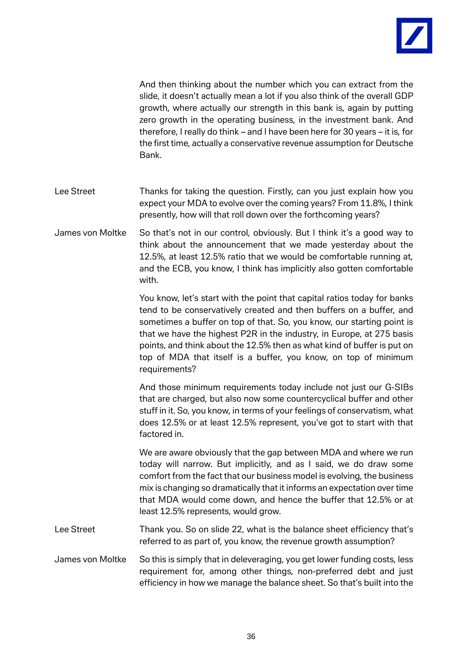

And then thinking about the number which you can extract from the slide, it doesn't actually mean a lot if you also think of the overall GDP growth, where actually our strength in this bank is, again by putting zero growth in the operating business, in the investment bank. And therefore, I really do think – and I have been here for 30 years – it is, for the first time, actually a conservative revenue assumption for Deutsche Bank.

- Lee Street Thanks for taking the question. Firstly, can you just explain how you expect your MDA to evolve over the coming years? From 11.8%, I think presently, how will that roll down over the forthcoming years?
- James von Moltke So that's not in our control, obviously. But I think it's a good way to think about the announcement that we made yesterday about the 12.5%, at least 12.5% ratio that we would be comfortable running at, and the ECB, you know, I think has implicitly also gotten comfortable with.

You know, let's start with the point that capital ratios today for banks tend to be conservatively created and then buffers on a buffer, and sometimes a buffer on top of that. So, you know, our starting point is that we have the highest P2R in the industry, in Europe, at 275 basis points, and think about the 12.5% then as what kind of buffer is put on top of MDA that itself is a buffer, you know, on top of minimum requirements?

And those minimum requirements today include not just our G-SIBs that are charged, but also now some countercyclical buffer and other stuff in it. So, you know, in terms of your feelings of conservatism, what does 12.5% or at least 12.5% represent, you've got to start with that factored in.

We are aware obviously that the gap between MDA and where we run today will narrow. But implicitly, and as I said, we do draw some comfort from the fact that our business model is evolving, the business mix is changing so dramatically that it informs an expectation over time that MDA would come down, and hence the buffer that 12.5% or at least 12.5% represents, would grow.

Lee Street Thank you. So on slide 22, what is the balance sheet efficiency that's referred to as part of, you know, the revenue growth assumption?

James von Moltke So this is simply that in deleveraging, you get lower funding costs, less requirement for, among other things, non-preferred debt and just efficiency in how we manage the balance sheet. So that's built into the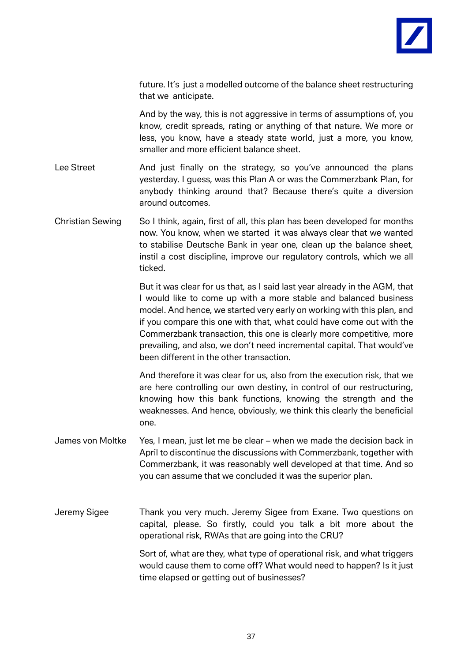

future. It's just a modelled outcome of the balance sheet restructuring that we anticipate.

And by the way, this is not aggressive in terms of assumptions of, you know, credit spreads, rating or anything of that nature. We more or less, you know, have a steady state world, just a more, you know, smaller and more efficient balance sheet.

- Lee Street And just finally on the strategy, so you've announced the plans yesterday. I guess, was this Plan A or was the Commerzbank Plan, for anybody thinking around that? Because there's quite a diversion around outcomes.
- Christian Sewing So I think, again, first of all, this plan has been developed for months now. You know, when we started it was always clear that we wanted to stabilise Deutsche Bank in year one, clean up the balance sheet, instil a cost discipline, improve our regulatory controls, which we all ticked.

But it was clear for us that, as I said last year already in the AGM, that I would like to come up with a more stable and balanced business model. And hence, we started very early on working with this plan, and if you compare this one with that, what could have come out with the Commerzbank transaction, this one is clearly more competitive, more prevailing, and also, we don't need incremental capital. That would've been different in the other transaction.

And therefore it was clear for us, also from the execution risk, that we are here controlling our own destiny, in control of our restructuring, knowing how this bank functions, knowing the strength and the weaknesses. And hence, obviously, we think this clearly the beneficial one.

- James von Moltke Yes, I mean, just let me be clear when we made the decision back in April to discontinue the discussions with Commerzbank, together with Commerzbank, it was reasonably well developed at that time. And so you can assume that we concluded it was the superior plan.
- Jeremy Sigee Thank you very much. Jeremy Sigee from Exane. Two questions on capital, please. So firstly, could you talk a bit more about the operational risk, RWAs that are going into the CRU?

Sort of, what are they, what type of operational risk, and what triggers would cause them to come off? What would need to happen? Is it just time elapsed or getting out of businesses?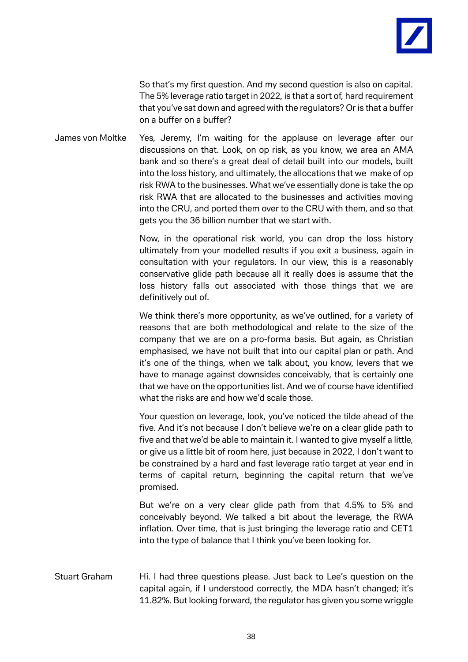

So that's my first question. And my second question is also on capital. The 5% leverage ratio target in 2022, is that a sort of, hard requirement that you've sat down and agreed with the regulators? Or is that a buffer on a buffer on a buffer?

James von Moltke Yes, Jeremy, I'm waiting for the applause on leverage after our discussions on that. Look, on op risk, as you know, we area an AMA bank and so there's a great deal of detail built into our models, built into the loss history, and ultimately, the allocations that we make of op risk RWA to the businesses. What we've essentially done is take the op risk RWA that are allocated to the businesses and activities moving into the CRU, and ported them over to the CRU with them, and so that gets you the 36 billion number that we start with.

> Now, in the operational risk world, you can drop the loss history ultimately from your modelled results if you exit a business, again in consultation with your regulators. In our view, this is a reasonably conservative glide path because all it really does is assume that the loss history falls out associated with those things that we are definitively out of.

> We think there's more opportunity, as we've outlined, for a variety of reasons that are both methodological and relate to the size of the company that we are on a pro-forma basis. But again, as Christian emphasised, we have not built that into our capital plan or path. And it's one of the things, when we talk about, you know, levers that we have to manage against downsides conceivably, that is certainly one that we have on the opportunities list. And we of course have identified what the risks are and how we'd scale those.

> Your question on leverage, look, you've noticed the tilde ahead of the five. And it's not because I don't believe we're on a clear glide path to five and that we'd be able to maintain it. I wanted to give myself a little, or give us a little bit of room here, just because in 2022, I don't want to be constrained by a hard and fast leverage ratio target at year end in terms of capital return, beginning the capital return that we've promised.

> But we're on a very clear glide path from that 4.5% to 5% and conceivably beyond. We talked a bit about the leverage, the RWA inflation. Over time, that is just bringing the leverage ratio and CET1 into the type of balance that I think you've been looking for.

Stuart Graham Hi. I had three questions please. Just back to Lee's question on the capital again, if I understood correctly, the MDA hasn't changed; it's 11.82%. But looking forward, the regulator has given you some wriggle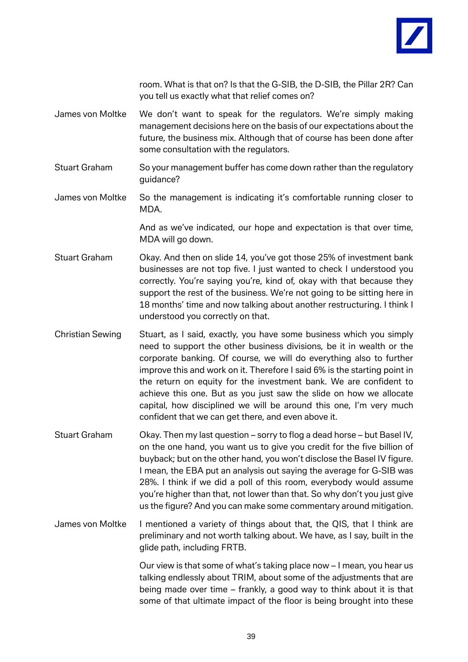

room. What is that on? Is that the G-SIB, the D-SIB, the Pillar 2R? Can you tell us exactly what that relief comes on?

- James von Moltke We don't want to speak for the regulators. We're simply making management decisions here on the basis of our expectations about the future, the business mix. Although that of course has been done after some consultation with the regulators.
- Stuart Graham So your management buffer has come down rather than the regulatory guidance?
- James von Moltke So the management is indicating it's comfortable running closer to MDA.

And as we've indicated, our hope and expectation is that over time, MDA will go down.

- Stuart Graham Okay. And then on slide 14, you've got those 25% of investment bank businesses are not top five. I just wanted to check I understood you correctly. You're saying you're, kind of, okay with that because they support the rest of the business. We're not going to be sitting here in 18 months' time and now talking about another restructuring. I think I understood you correctly on that.
- Christian Sewing Stuart, as I said, exactly, you have some business which you simply need to support the other business divisions, be it in wealth or the corporate banking. Of course, we will do everything also to further improve this and work on it. Therefore I said 6% is the starting point in the return on equity for the investment bank. We are confident to achieve this one. But as you just saw the slide on how we allocate capital, how disciplined we will be around this one, I'm very much confident that we can get there, and even above it.
- Stuart Graham Okay. Then my last question sorry to flog a dead horse but Basel IV, on the one hand, you want us to give you credit for the five billion of buyback; but on the other hand, you won't disclose the Basel IV figure. I mean, the EBA put an analysis out saying the average for G-SIB was 28%. I think if we did a poll of this room, everybody would assume you're higher than that, not lower than that. So why don't you just give us the figure? And you can make some commentary around mitigation.
- James von Moltke I mentioned a variety of things about that, the QIS, that I think are preliminary and not worth talking about. We have, as I say, built in the glide path, including FRTB.

Our view is that some of what's taking place now – I mean, you hear us talking endlessly about TRIM, about some of the adjustments that are being made over time – frankly, a good way to think about it is that some of that ultimate impact of the floor is being brought into these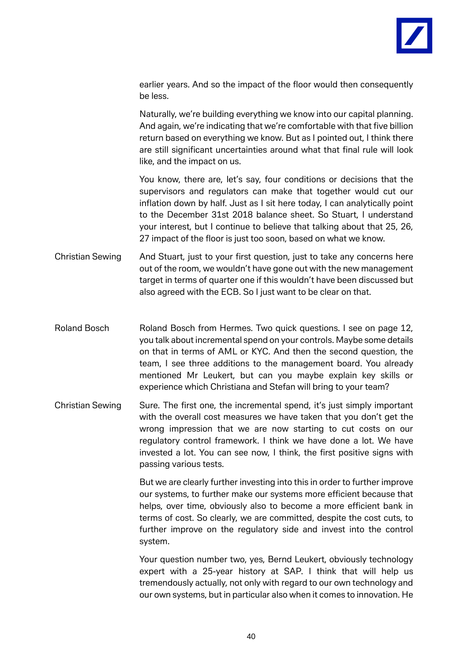

earlier years. And so the impact of the floor would then consequently be less.

Naturally, we're building everything we know into our capital planning. And again, we're indicating that we're comfortable with that five billion return based on everything we know. But as I pointed out, I think there are still significant uncertainties around what that final rule will look like, and the impact on us.

You know, there are, let's say, four conditions or decisions that the supervisors and regulators can make that together would cut our inflation down by half. Just as I sit here today, I can analytically point to the December 31st 2018 balance sheet. So Stuart, I understand your interest, but I continue to believe that talking about that 25, 26, 27 impact of the floor is just too soon, based on what we know.

- Christian Sewing And Stuart, just to your first question, just to take any concerns here out of the room, we wouldn't have gone out with the new management target in terms of quarter one if this wouldn't have been discussed but also agreed with the ECB. So I just want to be clear on that.
- Roland Bosch Roland Bosch from Hermes. Two quick questions. I see on page 12, you talk about incremental spend on your controls. Maybe some details on that in terms of AML or KYC. And then the second question, the team, I see three additions to the management board. You already mentioned Mr Leukert, but can you maybe explain key skills or experience which Christiana and Stefan will bring to your team?
- Christian Sewing Sure. The first one, the incremental spend, it's just simply important with the overall cost measures we have taken that you don't get the wrong impression that we are now starting to cut costs on our regulatory control framework. I think we have done a lot. We have invested a lot. You can see now, I think, the first positive signs with passing various tests.

But we are clearly further investing into this in order to further improve our systems, to further make our systems more efficient because that helps, over time, obviously also to become a more efficient bank in terms of cost. So clearly, we are committed, despite the cost cuts, to further improve on the regulatory side and invest into the control system.

Your question number two, yes, Bernd Leukert, obviously technology expert with a 25-year history at SAP. I think that will help us tremendously actually, not only with regard to our own technology and our own systems, but in particular also when it comes to innovation. He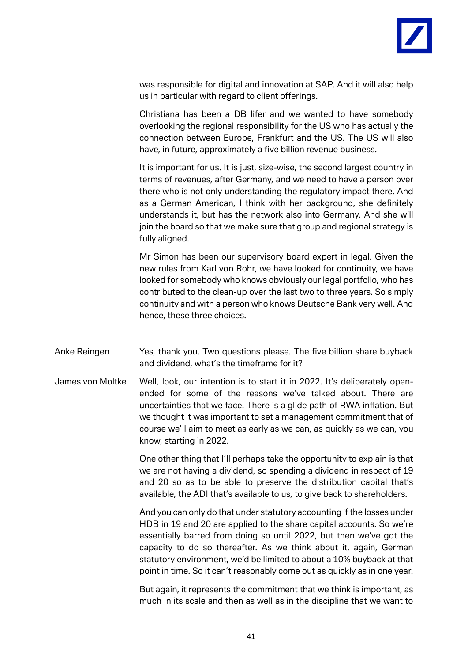

was responsible for digital and innovation at SAP. And it will also help us in particular with regard to client offerings.

Christiana has been a DB lifer and we wanted to have somebody overlooking the regional responsibility for the US who has actually the connection between Europe, Frankfurt and the US. The US will also have, in future, approximately a five billion revenue business.

It is important for us. It is just, size-wise, the second largest country in terms of revenues, after Germany, and we need to have a person over there who is not only understanding the regulatory impact there. And as a German American, I think with her background, she definitely understands it, but has the network also into Germany. And she will join the board so that we make sure that group and regional strategy is fully aligned.

Mr Simon has been our supervisory board expert in legal. Given the new rules from Karl von Rohr, we have looked for continuity, we have looked for somebody who knows obviously our legal portfolio, who has contributed to the clean-up over the last two to three years. So simply continuity and with a person who knows Deutsche Bank very well. And hence, these three choices.

- Anke Reingen Yes, thank you. Two questions please. The five billion share buyback and dividend, what's the timeframe for it?
- James von Moltke Well, look, our intention is to start it in 2022. It's deliberately openended for some of the reasons we've talked about. There are uncertainties that we face. There is a glide path of RWA inflation. But we thought it was important to set a management commitment that of course we'll aim to meet as early as we can, as quickly as we can, you know, starting in 2022.

One other thing that I'll perhaps take the opportunity to explain is that we are not having a dividend, so spending a dividend in respect of 19 and 20 so as to be able to preserve the distribution capital that's available, the ADI that's available to us, to give back to shareholders.

And you can only do that under statutory accounting if the losses under HDB in 19 and 20 are applied to the share capital accounts. So we're essentially barred from doing so until 2022, but then we've got the capacity to do so thereafter. As we think about it, again, German statutory environment, we'd be limited to about a 10% buyback at that point in time. So it can't reasonably come out as quickly as in one year.

But again, it represents the commitment that we think is important, as much in its scale and then as well as in the discipline that we want to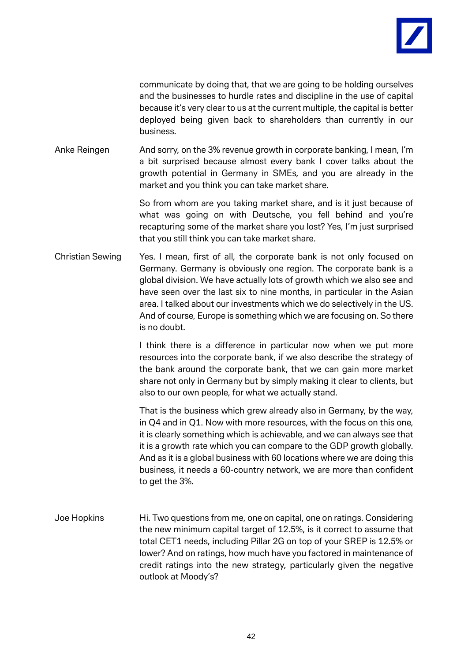

communicate by doing that, that we are going to be holding ourselves and the businesses to hurdle rates and discipline in the use of capital because it's very clear to us at the current multiple, the capital is better deployed being given back to shareholders than currently in our business.

Anke Reingen And sorry, on the 3% revenue growth in corporate banking, I mean, I'm a bit surprised because almost every bank I cover talks about the growth potential in Germany in SMEs, and you are already in the market and you think you can take market share.

> So from whom are you taking market share, and is it just because of what was going on with Deutsche, you fell behind and you're recapturing some of the market share you lost? Yes, I'm just surprised that you still think you can take market share.

Christian Sewing Yes. I mean, first of all, the corporate bank is not only focused on Germany. Germany is obviously one region. The corporate bank is a global division. We have actually lots of growth which we also see and have seen over the last six to nine months, in particular in the Asian area. I talked about our investments which we do selectively in the US. And of course, Europe is something which we are focusing on. So there is no doubt.

> I think there is a difference in particular now when we put more resources into the corporate bank, if we also describe the strategy of the bank around the corporate bank, that we can gain more market share not only in Germany but by simply making it clear to clients, but also to our own people, for what we actually stand.

> That is the business which grew already also in Germany, by the way, in Q4 and in Q1. Now with more resources, with the focus on this one, it is clearly something which is achievable, and we can always see that it is a growth rate which you can compare to the GDP growth globally. And as it is a global business with 60 locations where we are doing this business, it needs a 60-country network, we are more than confident to get the 3%.

Joe Hopkins Hi. Two questions from me, one on capital, one on ratings. Considering the new minimum capital target of 12.5%, is it correct to assume that total CET1 needs, including Pillar 2G on top of your SREP is 12.5% or lower? And on ratings, how much have you factored in maintenance of credit ratings into the new strategy, particularly given the negative outlook at Moody's?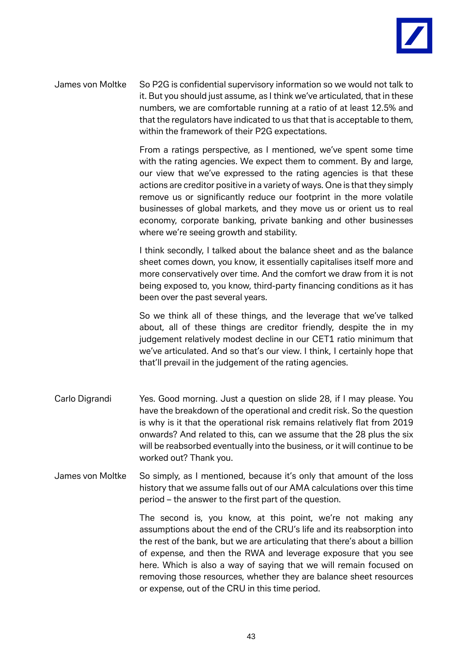

James von Moltke So P2G is confidential supervisory information so we would not talk to it. But you should just assume, as I think we've articulated, that in these numbers, we are comfortable running at a ratio of at least 12.5% and that the regulators have indicated to us that that is acceptable to them, within the framework of their P2G expectations.

> From a ratings perspective, as I mentioned, we've spent some time with the rating agencies. We expect them to comment. By and large, our view that we've expressed to the rating agencies is that these actions are creditor positive in a variety of ways. One is that they simply remove us or significantly reduce our footprint in the more volatile businesses of global markets, and they move us or orient us to real economy, corporate banking, private banking and other businesses where we're seeing growth and stability.

> I think secondly, I talked about the balance sheet and as the balance sheet comes down, you know, it essentially capitalises itself more and more conservatively over time. And the comfort we draw from it is not being exposed to, you know, third-party financing conditions as it has been over the past several years.

> So we think all of these things, and the leverage that we've talked about, all of these things are creditor friendly, despite the in my judgement relatively modest decline in our CET1 ratio minimum that we've articulated. And so that's our view. I think, I certainly hope that that'll prevail in the judgement of the rating agencies.

- Carlo Digrandi Yes. Good morning. Just a question on slide 28, if I may please. You have the breakdown of the operational and credit risk. So the question is why is it that the operational risk remains relatively flat from 2019 onwards? And related to this, can we assume that the 28 plus the six will be reabsorbed eventually into the business, or it will continue to be worked out? Thank you.
- James von Moltke So simply, as I mentioned, because it's only that amount of the loss history that we assume falls out of our AMA calculations over this time period – the answer to the first part of the question.

The second is, you know, at this point, we're not making any assumptions about the end of the CRU's life and its reabsorption into the rest of the bank, but we are articulating that there's about a billion of expense, and then the RWA and leverage exposure that you see here. Which is also a way of saying that we will remain focused on removing those resources, whether they are balance sheet resources or expense, out of the CRU in this time period.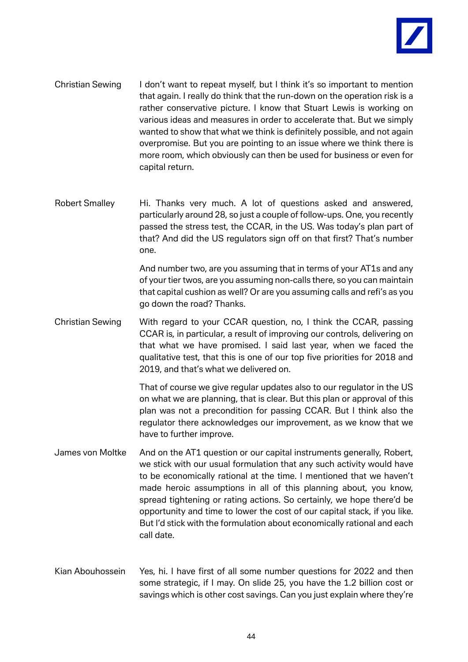

- Christian Sewing I don't want to repeat myself, but I think it's so important to mention that again. I really do think that the run-down on the operation risk is a rather conservative picture. I know that Stuart Lewis is working on various ideas and measures in order to accelerate that. But we simply wanted to show that what we think is definitely possible, and not again overpromise. But you are pointing to an issue where we think there is more room, which obviously can then be used for business or even for capital return.
- Robert Smalley Hi. Thanks very much. A lot of questions asked and answered, particularly around 28, so just a couple of follow-ups. One, you recently passed the stress test, the CCAR, in the US. Was today's plan part of that? And did the US regulators sign off on that first? That's number one.

And number two, are you assuming that in terms of your AT1s and any of your tier twos, are you assuming non-calls there, so you can maintain that capital cushion as well? Or are you assuming calls and refi's as you go down the road? Thanks.

Christian Sewing With regard to your CCAR question, no, I think the CCAR, passing CCAR is, in particular, a result of improving our controls, delivering on that what we have promised. I said last year, when we faced the qualitative test, that this is one of our top five priorities for 2018 and 2019, and that's what we delivered on.

> That of course we give regular updates also to our regulator in the US on what we are planning, that is clear. But this plan or approval of this plan was not a precondition for passing CCAR. But I think also the regulator there acknowledges our improvement, as we know that we have to further improve.

- James von Moltke And on the AT1 question or our capital instruments generally, Robert, we stick with our usual formulation that any such activity would have to be economically rational at the time. I mentioned that we haven't made heroic assumptions in all of this planning about, you know, spread tightening or rating actions. So certainly, we hope there'd be opportunity and time to lower the cost of our capital stack, if you like. But I'd stick with the formulation about economically rational and each call date.
- Kian Abouhossein Yes, hi. I have first of all some number questions for 2022 and then some strategic, if I may. On slide 25, you have the 1.2 billion cost or savings which is other cost savings. Can you just explain where they're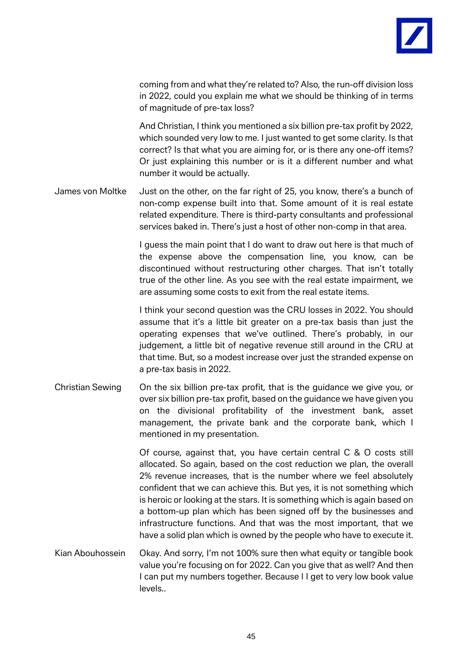

coming from and what they're related to? Also, the run-off division loss in 2022, could you explain me what we should be thinking of in terms of magnitude of pre-tax loss?

And Christian, I think you mentioned a six billion pre-tax profit by 2022, which sounded very low to me. I just wanted to get some clarity. Is that correct? Is that what you are aiming for, or is there any one-off items? Or just explaining this number or is it a different number and what number it would be actually.

James von Moltke Just on the other, on the far right of 25, you know, there's a bunch of non-comp expense built into that. Some amount of it is real estate related expenditure. There is third-party consultants and professional services baked in. There's just a host of other non-comp in that area.

> I guess the main point that I do want to draw out here is that much of the expense above the compensation line, you know, can be discontinued without restructuring other charges. That isn't totally true of the other line. As you see with the real estate impairment, we are assuming some costs to exit from the real estate items.

> I think your second question was the CRU losses in 2022. You should assume that it's a little bit greater on a pre-tax basis than just the operating expenses that we've outlined. There's probably, in our judgement, a little bit of negative revenue still around in the CRU at that time. But, so a modest increase over just the stranded expense on a pre-tax basis in 2022.

Christian Sewing On the six billion pre-tax profit, that is the guidance we give you, or over six billion pre-tax profit, based on the guidance we have given you on the divisional profitability of the investment bank, asset management, the private bank and the corporate bank, which I mentioned in my presentation.

> Of course, against that, you have certain central C & O costs still allocated. So again, based on the cost reduction we plan, the overall 2% revenue increases, that is the number where we feel absolutely confident that we can achieve this. But yes, it is not something which is heroic or looking at the stars. It is something which is again based on a bottom-up plan which has been signed off by the businesses and infrastructure functions. And that was the most important, that we have a solid plan which is owned by the people who have to execute it.

Kian Abouhossein Okay. And sorry, I'm not 100% sure then what equity or tangible book value you're focusing on for 2022. Can you give that as well? And then I can put my numbers together. Because I I get to very low book value levels..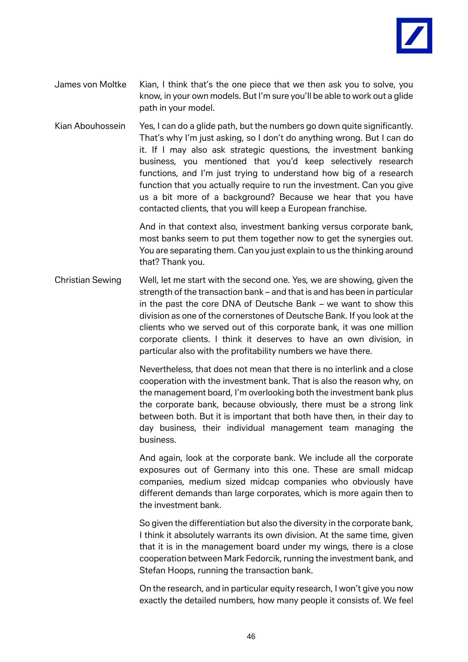

- James von Moltke Kian, I think that's the one piece that we then ask you to solve, you know, in your own models. But I'm sure you'll be able to work out a glide path in your model.
- Kian Abouhossein Yes, I can do a glide path, but the numbers go down quite significantly. That's why I'm just asking, so I don't do anything wrong. But I can do it. If I may also ask strategic questions, the investment banking business, you mentioned that you'd keep selectively research functions, and I'm just trying to understand how big of a research function that you actually require to run the investment. Can you give us a bit more of a background? Because we hear that you have contacted clients, that you will keep a European franchise.

And in that context also, investment banking versus corporate bank, most banks seem to put them together now to get the synergies out. You are separating them. Can you just explain to us the thinking around that? Thank you.

Christian Sewing Well, let me start with the second one. Yes, we are showing, given the strength of the transaction bank – and that is and has been in particular in the past the core DNA of Deutsche Bank – we want to show this division as one of the cornerstones of Deutsche Bank. If you look at the clients who we served out of this corporate bank, it was one million corporate clients. I think it deserves to have an own division, in particular also with the profitability numbers we have there.

> Nevertheless, that does not mean that there is no interlink and a close cooperation with the investment bank. That is also the reason why, on the management board, I'm overlooking both the investment bank plus the corporate bank, because obviously, there must be a strong link between both. But it is important that both have then, in their day to day business, their individual management team managing the business.

> And again, look at the corporate bank. We include all the corporate exposures out of Germany into this one. These are small midcap companies, medium sized midcap companies who obviously have different demands than large corporates, which is more again then to the investment bank.

> So given the differentiation but also the diversity in the corporate bank, I think it absolutely warrants its own division. At the same time, given that it is in the management board under my wings, there is a close cooperation between Mark Fedorcik, running the investment bank, and Stefan Hoops, running the transaction bank.

> On the research, and in particular equity research, I won't give you now exactly the detailed numbers, how many people it consists of. We feel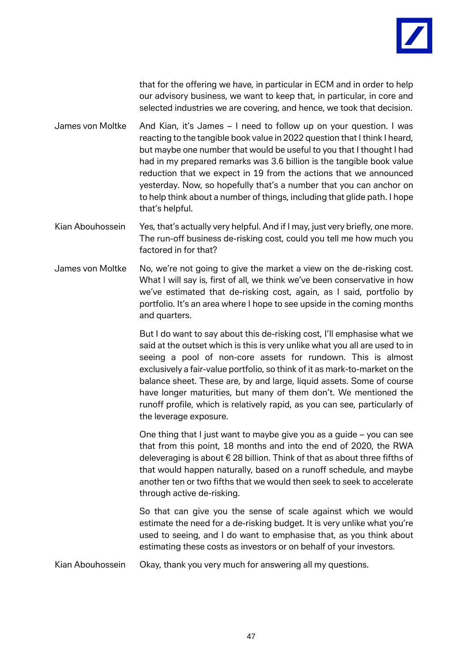

that for the offering we have, in particular in ECM and in order to help our advisory business, we want to keep that, in particular, in core and selected industries we are covering, and hence, we took that decision.

James von Moltke And Kian, it's James – I need to follow up on your question. I was reacting to the tangible book value in 2022 question that I think I heard, but maybe one number that would be useful to you that I thought I had had in my prepared remarks was 3.6 billion is the tangible book value reduction that we expect in 19 from the actions that we announced yesterday. Now, so hopefully that's a number that you can anchor on to help think about a number of things, including that glide path. I hope that's helpful.

- Kian Abouhossein Yes, that's actually very helpful. And if I may, just very briefly, one more. The run-off business de-risking cost, could you tell me how much you factored in for that?
- James von Moltke No, we're not going to give the market a view on the de-risking cost. What I will say is, first of all, we think we've been conservative in how we've estimated that de-risking cost, again, as I said, portfolio by portfolio. It's an area where I hope to see upside in the coming months and quarters.

But I do want to say about this de-risking cost, I'll emphasise what we said at the outset which is this is very unlike what you all are used to in seeing a pool of non-core assets for rundown. This is almost exclusively a fair-value portfolio, so think of it as mark-to-market on the balance sheet. These are, by and large, liquid assets. Some of course have longer maturities, but many of them don't. We mentioned the runoff profile, which is relatively rapid, as you can see, particularly of the leverage exposure.

One thing that I just want to maybe give you as a guide – you can see that from this point, 18 months and into the end of 2020, the RWA deleveraging is about € 28 billion. Think of that as about three fifths of that would happen naturally, based on a runoff schedule, and maybe another ten or two fifths that we would then seek to seek to accelerate through active de-risking.

So that can give you the sense of scale against which we would estimate the need for a de-risking budget. It is very unlike what you're used to seeing, and I do want to emphasise that, as you think about estimating these costs as investors or on behalf of your investors.

Kian Abouhossein Okay, thank you very much for answering all my questions.